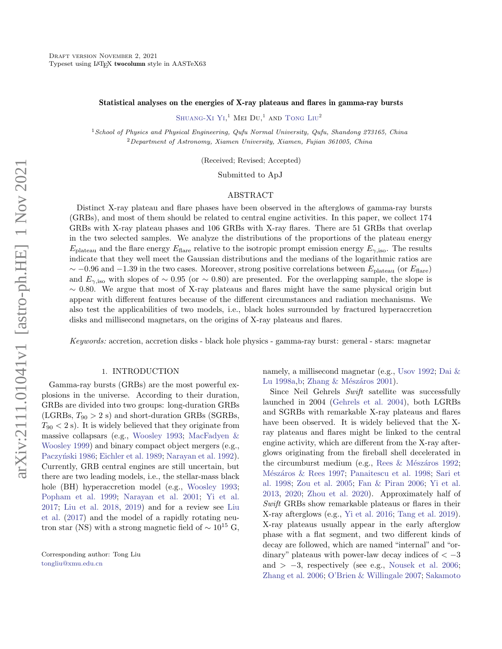#### Statistical analyses on the energies of X-ray plateaus and flares in gamma-ray bursts

[Shuang-Xi Yi,](http://orcid.org/0000-0003-0672-5646)<sup>1</sup> Mei Du,<sup>1</sup> and [Tong Liu](http://orcid.org/0000-0001-8678-6291)<sup>2</sup>

<sup>1</sup> School of Physics and Physical Engineering, Qufu Normal University, Qufu, Shandong 273165, China <sup>2</sup>Department of Astronomy, Xiamen University, Xiamen, Fujian 361005, China

(Received; Revised; Accepted)

Submitted to ApJ

### ABSTRACT

Distinct X-ray plateau and flare phases have been observed in the afterglows of gamma-ray bursts (GRBs), and most of them should be related to central engine activities. In this paper, we collect 174 GRBs with X-ray plateau phases and 106 GRBs with X-ray flares. There are 51 GRBs that overlap in the two selected samples. We analyze the distributions of the proportions of the plateau energy  $E_{\text{plateau}}$  and the flare energy  $E_{\text{flare}}$  relative to the isotropic prompt emission energy  $E_{\gamma,\text{iso}}$ . The results indicate that they well meet the Gaussian distributions and the medians of the logarithmic ratios are  $\sim$  −0.96 and −1.39 in the two cases. Moreover, strong positive correlations between  $E_{\text{plateau}}$  (or  $E_{\text{flare}}$ ) and  $E_{\gamma,iso}$  with slopes of ~ 0.95 (or ~ 0.80) are presented. For the overlapping sample, the slope is  $\sim$  0.80. We argue that most of X-ray plateaus and flares might have the same physical origin but appear with different features because of the different circumstances and radiation mechanisms. We also test the applicabilities of two models, i.e., black holes surrounded by fractured hyperaccretion disks and millisecond magnetars, on the origins of X-ray plateaus and flares.

Keywords: accretion, accretion disks - black hole physics - gamma-ray burst: general - stars: magnetar

## 1. INTRODUCTION

Gamma-ray bursts (GRBs) are the most powerful explosions in the universe. According to their duration, GRBs are divided into two groups: long-duration GRBs (LGRBs,  $T_{90} > 2$  s) and short-duration GRBs (SGRBs,  $T_{90}$   $<$  2 s). It is widely believed that they originate from massive collapsars (e.g., [Woosley](#page-7-0) [1993;](#page-7-0) [MacFadyen &](#page-6-0) [Woosley](#page-6-0) [1999\)](#page-6-0) and binary compact object mergers (e.g., Paczyński [1986;](#page-7-1) [Eichler et al.](#page-6-1) [1989;](#page-6-1) [Narayan et al.](#page-6-2) [1992\)](#page-6-2). Currently, GRB central engines are still uncertain, but there are two leading models, i.e., the stellar-mass black hole (BH) hyperaccretion model (e.g., [Woosley](#page-7-0) [1993;](#page-7-0) [Popham et al.](#page-7-2) [1999;](#page-7-2) [Narayan et al.](#page-6-3) [2001;](#page-6-3) [Yi et al.](#page-7-3) [2017;](#page-7-3) [Liu et al.](#page-6-4) [2018,](#page-6-4) [2019\)](#page-6-5) and for a review see [Liu](#page-6-6) [et al.](#page-6-6) [\(2017\)](#page-6-6) and the model of a rapidly rotating neutron star (NS) with a strong magnetic field of  $\sim 10^{15}$  G, namely, a millisecond magnetar (e.g., [Usov](#page-7-4) [1992;](#page-7-4) [Dai &](#page-6-7) [Lu](#page-6-7) [1998a,](#page-6-7) [b;](#page-6-8) Zhang & Mészáros [2001\)](#page-7-5).

Since Neil Gehrels Swift satellite was successfully launched in 2004 [\(Gehrels et al.](#page-6-9) [2004\)](#page-6-9), both LGRBs and SGRBs with remarkable X-ray plateaus and flares have been observed. It is widely believed that the Xray plateaus and flares might be linked to the central engine activity, which are different from the X-ray afterglows originating from the fireball shell decelerated in the circumburst medium (e.g., Rees  $&$  Mészáros [1992;](#page-7-6) Mészáros & Rees [1997;](#page-6-10) [Panaitescu et al.](#page-7-7) [1998;](#page-7-7) [Sari et](#page-7-8) [al.](#page-7-8) [1998;](#page-7-8) [Zou et al.](#page-7-9) [2005;](#page-7-9) [Fan & Piran](#page-6-11) [2006;](#page-6-11) [Yi et al.](#page-7-10) [2013,](#page-7-10) [2020;](#page-7-11) [Zhou et al.](#page-7-12) [2020\)](#page-7-12). Approximately half of Swift GRBs show remarkable plateaus or flares in their X-ray afterglows (e.g., [Yi et al.](#page-7-13) [2016;](#page-7-13) [Tang et al.](#page-7-14) [2019\)](#page-7-14). X-ray plateaus usually appear in the early afterglow phase with a flat segment, and two different kinds of decay are followed, which are named "internal" and "ordinary" plateaus with power-law decay indices of  $<-3$ and  $> -3$ , respectively (see e.g., [Nousek et al.](#page-6-12) [2006;](#page-6-12) [Zhang et al.](#page-7-15) [2006;](#page-7-15) [O'Brien & Willingale](#page-7-16) [2007;](#page-7-16) [Sakamoto](#page-7-17)

Corresponding author: Tong Liu [tongliu@xmu.edu.cn](mailto: tongliu@xmu.edu.cn)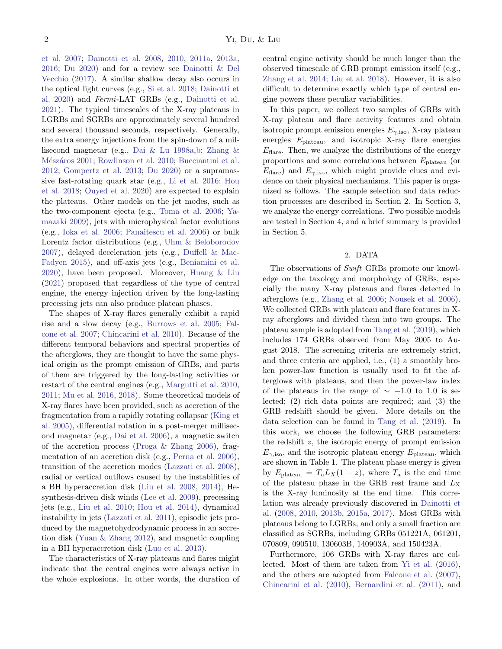[et al.](#page-7-17) [2007;](#page-7-17) [Dainotti et al.](#page-6-13) [2008,](#page-6-13) [2010,](#page-6-14) [2011a,](#page-6-15) [2013a,](#page-6-16) [2016;](#page-6-17) [Du](#page-6-18) [2020\)](#page-6-18) and for a review see [Dainotti & Del](#page-6-19) [Vecchio](#page-6-19) [\(2017\)](#page-6-19). A similar shallow decay also occurs in the optical light curves (e.g., [Si et al.](#page-7-18) [2018;](#page-7-18) [Dainotti et](#page-6-20) [al.](#page-6-20) [2020\)](#page-6-20) and Fermi-LAT GRBs (e.g., [Dainotti et al.](#page-6-21) [2021\)](#page-6-21). The typical timescales of the X-ray plateaus in LGRBs and SGRBs are approximately several hundred and several thousand seconds, respectively. Generally, the extra energy injections from the spin-down of a millisecond magnetar (e.g., [Dai & Lu](#page-6-7) [1998a](#page-6-7)[,b;](#page-6-8) [Zhang &](#page-7-5) Mészáros [2001;](#page-7-5) [Rowlinson et al.](#page-7-19) [2010;](#page-7-19) [Bucciantini et al.](#page-6-22) [2012;](#page-6-22) [Gompertz et al.](#page-6-23) [2013;](#page-6-23) [Du](#page-6-18) [2020\)](#page-6-18) or a supramassive fast-rotating quark star (e.g., [Li et al.](#page-6-24) [2016;](#page-6-24) [Hou](#page-6-25) [et al.](#page-6-25) [2018;](#page-6-25) [Ouyed et al.](#page-6-26) [2020\)](#page-6-26) are expected to explain the plateaus. Other models on the jet modes, such as the two-component ejecta (e.g., [Toma et al.](#page-7-20) [2006;](#page-7-20) [Ya](#page-7-21)[mazaki](#page-7-21) [2009\)](#page-7-21), jets with microphysical factor evolutions (e.g., [Ioka et al.](#page-6-27) [2006;](#page-6-27) [Panaitescu et al.](#page-7-22) [2006\)](#page-7-22) or bulk Lorentz factor distributions (e.g., [Uhm & Beloborodov](#page-7-23) [2007\)](#page-7-23), delayed deceleration jets (e.g., [Duffell & Mac-](#page-6-28)[Fadyen](#page-6-28) [2015\)](#page-6-28), and off-axis jets (e.g., [Beniamini et al.](#page-5-0) [2020\)](#page-5-0), have been proposed. Moreover, [Huang & Liu](#page-6-29) [\(2021\)](#page-6-29) proposed that regardless of the type of central engine, the energy injection driven by the long-lasting precessing jets can also produce plateau phases.

The shapes of X-ray flares generally exhibit a rapid rise and a slow decay (e.g., [Burrows et al.](#page-6-30) [2005;](#page-6-30) [Fal](#page-6-31)[cone et al.](#page-6-31) [2007;](#page-6-31) [Chincarini et al.](#page-6-32) [2010\)](#page-6-32). Because of the different temporal behaviors and spectral properties of the afterglows, they are thought to have the same physical origin as the prompt emission of GRBs, and parts of them are triggered by the long-lasting activities or restart of the central engines (e.g., [Margutti et al.](#page-6-33) [2010,](#page-6-33) [2011;](#page-6-34) [Mu et al.](#page-6-35) [2016,](#page-6-35) [2018\)](#page-6-36). Some theoretical models of X-ray flares have been provided, such as accretion of the fragmentation from a rapidly rotating collapsar [\(King et](#page-6-37) [al.](#page-6-37) [2005\)](#page-6-37), differential rotation in a post-merger millisecond magnetar (e.g., [Dai et al.](#page-6-38) [2006\)](#page-6-38), a magnetic switch of the accretion process [\(Proga & Zhang](#page-7-24) [2006\)](#page-7-24), fragmentation of an accretion disk (e.g., [Perna et al.](#page-7-25) [2006\)](#page-7-25), transition of the accretion modes [\(Lazzati et al.](#page-6-39) [2008\)](#page-6-39), radial or vertical outflows caused by the instabilities of a BH hyperaccretion disk [\(Liu et al.](#page-6-40) [2008,](#page-6-40) [2014\)](#page-6-41), Hesynthesis-driven disk winds [\(Lee et al.](#page-6-42) [2009\)](#page-6-42), precessing jets (e.g., [Liu et al.](#page-6-43) [2010;](#page-6-43) [Hou et al.](#page-6-44) [2014\)](#page-6-44), dynamical instability in jets [\(Lazzati et al.](#page-6-45) [2011\)](#page-6-45), episodic jets produced by the magnetohydrodynamic process in an accretion disk [\(Yuan & Zhang](#page-7-26) [2012\)](#page-7-26), and magnetic coupling in a BH hyperaccretion disk [\(Luo et al.](#page-6-46) [2013\)](#page-6-46).

The characteristics of X-ray plateaus and flares might indicate that the central engines were always active in the whole explosions. In other words, the duration of central engine activity should be much longer than the observed timescale of GRB prompt emission itself (e.g., [Zhang et al.](#page-7-27) [2014;](#page-7-27) [Liu et al.](#page-6-4) [2018\)](#page-6-4). However, it is also difficult to determine exactly which type of central engine powers these peculiar variabilities.

In this paper, we collect two samples of GRBs with X-ray plateau and flare activity features and obtain isotropic prompt emission energies  $E_{\gamma,iso}$ , X-ray plateau energies  $E_{\text{plateau}}$ , and isotropic X-ray flare energies  $E_{\text{flare}}$ . Then, we analyze the distributions of the energy proportions and some correlations between  $E_{\text{plateau}}$  (or  $E_{\text{flare}}$ ) and  $E_{\gamma,\text{iso}}$ , which might provide clues and evidence on their physical mechanisms. This paper is organized as follows. The sample selection and data reduction processes are described in Section 2. In Section 3, we analyze the energy correlations. Two possible models are tested in Section 4, and a brief summary is provided in Section 5.

## 2. DATA

The observations of Swift GRBs promote our knowledge on the taxology and morphology of GRBs, especially the many X-ray plateaus and flares detected in afterglows (e.g., [Zhang et al.](#page-7-15) [2006;](#page-7-15) [Nousek et al.](#page-6-12) [2006\)](#page-6-12). We collected GRBs with plateau and flare features in Xray afterglows and divided them into two groups. The plateau sample is adopted from [Tang et al.](#page-7-14) [\(2019\)](#page-7-14), which includes 174 GRBs observed from May 2005 to August 2018. The screening criteria are extremely strict, and three criteria are applied, i.e., (1) a smoothly broken power-law function is usually used to fit the afterglows with plateaus, and then the power-law index of the plateaus in the range of  $\sim$  -1.0 to 1.0 is selected; (2) rich data points are required; and (3) the GRB redshift should be given. More details on the data selection can be found in [Tang et al.](#page-7-14) [\(2019\)](#page-7-14). In this work, we choose the following GRB parameters: the redshift  $z$ , the isotropic energy of prompt emission  $E_{\gamma,iso}$ , and the isotropic plateau energy  $E_{\text{plateau}}$ , which are shown in Table 1. The plateau phase energy is given by  $E_{\text{plateau}} = T_a L_X(1+z)$ , where  $T_a$  is the end time of the plateau phase in the GRB rest frame and  $L_X$ is the X-ray luminosity at the end time. This correlation was already previously discovered in [Dainotti et](#page-6-13) [al.](#page-6-13) [\(2008,](#page-6-13) [2010,](#page-6-14) [2013b,](#page-6-47) [2015a,](#page-6-48) [2017\)](#page-6-49). Most GRBs with plateaus belong to LGRBs, and only a small fraction are classified as SGRBs, including GRBs 051221A, 061201, 070809, 090510, 130603B, 140903A, and 150423A.

Furthermore, 106 GRBs with X-ray flares are collected. Most of them are taken from [Yi et al.](#page-7-13) [\(2016\)](#page-7-13), and the others are adopted from [Falcone et al.](#page-6-31) [\(2007\)](#page-6-31), [Chincarini et al.](#page-6-32) [\(2010\)](#page-6-32), [Bernardini et al.](#page-5-1) [\(2011\)](#page-5-1), and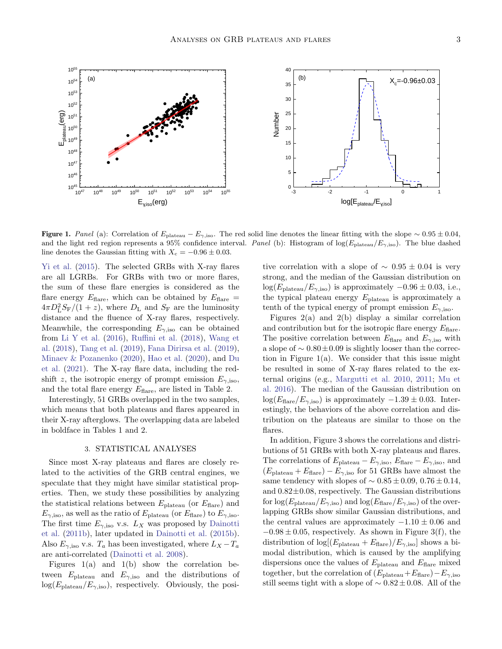

Figure 1. Panel (a): Correlation of  $E_{\text{plateau}} - E_{\gamma,\text{iso}}$ . The red solid line denotes the linear fitting with the slope ∼ 0.95 ± 0.04, and the light red region represents a 95% confidence interval. Panel (b): Histogram of  $log(E_{plateau}/E_{\gamma,iso})$ . The blue dashed line denotes the Gaussian fitting with  $X_c = -0.96 \pm 0.03$ .

[Yi et al.](#page-7-28) [\(2015\)](#page-7-28). The selected GRBs with X-ray flares are all LGRBs. For GRBs with two or more flares, the sum of these flare energies is considered as the flare energy  $E_{\text{flare}}$ , which can be obtained by  $E_{\text{flare}} =$  $4\pi D_{\rm L}^2 S_{\rm F}/(1+z)$ , where  $D_{\rm L}$  and  $S_{\rm F}$  are the luminosity distance and the fluence of X-ray flares, respectively. Meanwhile, the corresponding  $E_{\gamma,iso}$  can be obtained from [Li Y et al.](#page-6-50)  $(2016)$ , [Ruffini et al.](#page-7-29)  $(2018)$ , [Wang et](#page-7-30) [al.](#page-7-30) [\(2018\)](#page-7-30), [Tang et al.](#page-7-14) [\(2019\)](#page-7-14), [Fana Dirirsa et al.](#page-6-51) [\(2019\)](#page-6-51), [Minaev & Pozanenko](#page-6-52) [\(2020\)](#page-6-52), [Hao et al.](#page-6-53) [\(2020\)](#page-6-53), and [Du](#page-6-54) [et al.](#page-6-54) [\(2021\)](#page-6-54). The X-ray flare data, including the redshift z, the isotropic energy of prompt emission  $E_{\gamma,iso}$ , and the total flare energy  $E_{\text{flare}}$ , are listed in Table 2.

Interestingly, 51 GRBs overlapped in the two samples, which means that both plateaus and flares appeared in their X-ray afterglows. The overlapping data are labeled in boldface in Tables 1 and 2.

#### 3. STATISTICAL ANALYSES

Since most X-ray plateaus and flares are closely related to the activities of the GRB central engines, we speculate that they might have similar statistical properties. Then, we study these possibilities by analyzing the statistical relations between  $E_{\text{plateau}}$  (or  $E_{\text{flare}}$ ) and  $E_{\gamma,\text{iso}}$ , as well as the ratio of  $E_{\text{plateau}}$  (or  $E_{\text{flare}}$ ) to  $E_{\gamma,\text{iso}}$ . The first time  $E_{\gamma,iso}$  v.s.  $L_X$  was proposed by [Dainotti](#page-6-55) [et al.](#page-6-55) [\(2011b\)](#page-6-55), later updated in [Dainotti et al.](#page-6-56) [\(2015b\)](#page-6-56). Also  $E_{\gamma,\text{iso}}$  v.s.  $T_a$  has been investigated, where  $L_X - T_a$ are anti-correlated [\(Dainotti et al.](#page-6-13) [2008\)](#page-6-13).

Figures  $1(a)$  and  $1(b)$  show the correlation between  $E_{\text{plateau}}$  and  $E_{\gamma,\text{iso}}$  and the distributions of  $log(E_{\text{plateau}}/E_{\gamma,\text{iso}})$ , respectively. Obviously, the positive correlation with a slope of  $\sim 0.95 \pm 0.04$  is very strong, and the median of the Gaussian distribution on  $log(E_{\text{plateau}}/E_{\gamma,\text{iso}})$  is approximately  $-0.96 \pm 0.03$ , i.e., the typical plateau energy  $E_{\text{plateau}}$  is approximately a tenth of the typical energy of prompt emission  $E_{\gamma,\rm iso}$ .

Figures  $2(a)$  and  $2(b)$  display a similar correlation and contribution but for the isotropic flare energy  $E_{\text{flare}}$ . The positive correlation between  $E_{\text{flare}}$  and  $E_{\gamma,\text{iso}}$  with a slope of  $\sim 0.80 \pm 0.09$  is slightly looser than the correction in Figure 1(a). We consider that this issue might be resulted in some of X-ray flares related to the external origins (e.g., [Margutti et al.](#page-6-33) [2010,](#page-6-33) [2011;](#page-6-34) [Mu et](#page-6-35) [al.](#page-6-35) [2016\)](#page-6-35). The median of the Gaussian distribution on  $log(E<sub>flare</sub>/E<sub>γ.iso</sub>)$  is approximately  $-1.39 \pm 0.03$ . Interestingly, the behaviors of the above correlation and distribution on the plateaus are similar to those on the flares.

In addition, Figure 3 shows the correlations and distributions of 51 GRBs with both X-ray plateaus and flares. The correlations of  $E_{\text{plateau}} - E_{\gamma,\text{iso}}$ ,  $E_{\text{flare}} - E_{\gamma,\text{iso}}$ , and  $(E_{\text{plateau}} + E_{\text{flare}}) - E_{\gamma,\text{iso}}$  for 51 GRBs have almost the same tendency with slopes of  $\sim 0.85 \pm 0.09, 0.76 \pm 0.14,$ and  $0.82\pm0.08$ , respectively. The Gaussian distributions for  $\log(E_{\text{plateau}}/E_{\gamma,\text{iso}})$  and  $\log(E_{\text{flare}}/E_{\gamma,\text{iso}})$  of the overlapping GRBs show similar Gaussian distributions, and the central values are approximately  $-1.10 \pm 0.06$  and  $-0.98 \pm 0.05$ , respectively. As shown in Figure 3(f), the distribution of  $\log[(E_{\text{plateau}} + E_{\text{flare}})/E_{\gamma,\text{iso}}]$  shows a bimodal distribution, which is caused by the amplifying dispersions once the values of  $E_{\text{plateau}}$  and  $E_{\text{flare}}$  mixed together, but the correlation of  $(E_{\text{plateau}}+E_{\text{flare}})-E_{\gamma,\text{iso}}$ still seems tight with a slope of  $\sim 0.82 \pm 0.08$ . All of the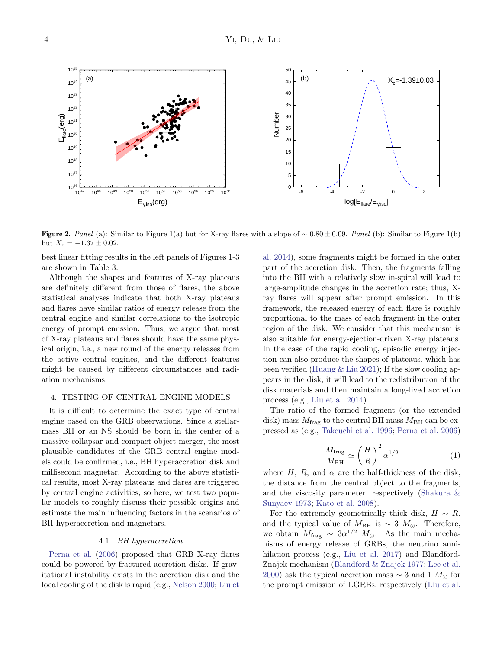Figure 2. Panel (a): Similar to Figure 1(a) but for X-ray flares with a slope of  $\sim 0.80 \pm 0.09$ . Panel (b): Similar to Figure 1(b) but  $X_c = -1.37 \pm 0.02$ .

best linear fitting results in the left panels of Figures 1-3 are shown in Table 3.

Although the shapes and features of X-ray plateaus are definitely different from those of flares, the above statistical analyses indicate that both X-ray plateaus and flares have similar ratios of energy release from the central engine and similar correlations to the isotropic energy of prompt emission. Thus, we argue that most of X-ray plateaus and flares should have the same physical origin, i.e., a new round of the energy releases from the active central engines, and the different features might be caused by different circumstances and radiation mechanisms.

### 4. TESTING OF CENTRAL ENGINE MODELS

It is difficult to determine the exact type of central engine based on the GRB observations. Since a stellarmass BH or an NS should be born in the center of a massive collapsar and compact object merger, the most plausible candidates of the GRB central engine models could be confirmed, i.e., BH hyperaccretion disk and millisecond magnetar. According to the above statistical results, most X-ray plateaus and flares are triggered by central engine activities, so here, we test two popular models to roughly discuss their possible origins and estimate the main influencing factors in the scenarios of BH hyperaccretion and magnetars.

## 4.1. BH hyperaccretion

[Perna et al.](#page-7-25) [\(2006\)](#page-7-25) proposed that GRB X-ray flares could be powered by fractured accretion disks. If gravitational instability exists in the accretion disk and the local cooling of the disk is rapid (e.g., [Nelson](#page-6-57) [2000;](#page-6-57) [Liu et](#page-6-41)

[al.](#page-6-41) [2014\)](#page-6-41), some fragments might be formed in the outer part of the accretion disk. Then, the fragments falling into the BH with a relatively slow in-spiral will lead to large-amplitude changes in the accretion rate; thus, Xray flares will appear after prompt emission. In this framework, the released energy of each flare is roughly proportional to the mass of each fragment in the outer region of the disk. We consider that this mechanism is also suitable for energy-ejection-driven X-ray plateaus. In the case of the rapid cooling, episodic energy injection can also produce the shapes of plateaus, which has been verified (Huang  $&$  Liu [2021\)](#page-6-29); If the slow cooling appears in the disk, it will lead to the redistribution of the disk materials and then maintain a long-lived accretion process (e.g., [Liu et al.](#page-6-41) [2014\)](#page-6-41).

The ratio of the formed fragment (or the extended disk) mass  $M_{\text{frag}}$  to the central BH mass  $M_{\text{BH}}$  can be expressed as (e.g., [Takeuchi et al.](#page-7-31) [1996;](#page-7-31) [Perna et al.](#page-7-25) [2006\)](#page-7-25)

$$
\frac{M_{\text{frag}}}{M_{\text{BH}}} \simeq \left(\frac{H}{R}\right)^2 \alpha^{1/2} \tag{1}
$$

where H, R, and  $\alpha$  are the half-thickness of the disk, the distance from the central object to the fragments, and the viscosity parameter, respectively [\(Shakura &](#page-7-32) [Sunyaev](#page-7-32) [1973;](#page-7-32) [Kato et al.](#page-6-58) [2008\)](#page-6-58).

For the extremely geometrically thick disk,  $H \sim R$ , and the typical value of  $M_{\text{BH}}$  is ~ 3  $M_{\odot}$ . Therefore, we obtain  $M_{\text{frag}} \sim 3\alpha^{1/2} M_{\odot}$ . As the main mechanisms of energy release of GRBs, the neutrino annihilation process (e.g., [Liu et al.](#page-6-6) [2017\)](#page-6-6) and Blandford-Znajek mechanism [\(Blandford & Znajek](#page-5-2) [1977;](#page-5-2) [Lee et al.](#page-6-59) [2000\)](#page-6-59) ask the typical accretion mass  $\sim$  3 and 1  $M_{\odot}$  for the prompt emission of LGRBs, respectively [\(Liu et al.](#page-6-60)

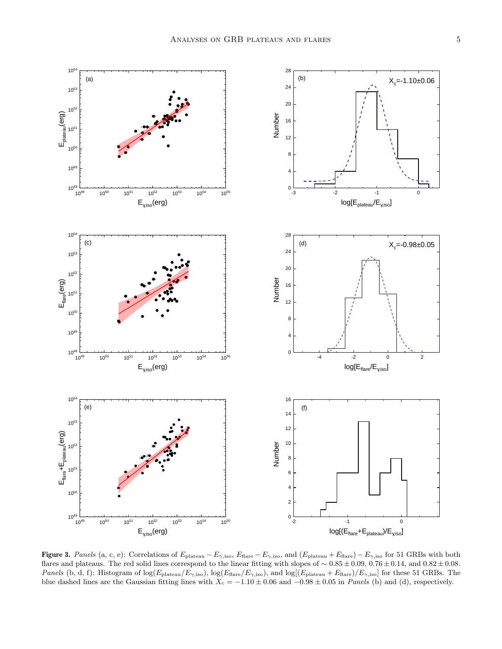

**Figure 3.** Panels (a, c, e): Correlations of  $E_{\text{plateau}} - E_{\gamma,\text{iso}}$ ,  $E_{\text{flare}} - E_{\gamma,\text{iso}}$ , and  $(E_{\text{plateau}} + E_{\text{flare}}) - E_{\gamma,\text{iso}}$  for 51 GRBs with both flares and plateaus. The red solid lines correspond to the linear fitting with slopes of ∼ 0.85 ± 0.09, 0.76 ± 0.14, and 0.82 ± 0.08. *Panels* (b, d, f): Histogram of  $\log(E_{\text{plateau}}/E_{\gamma,\text{iso}})$ ,  $\log(E_{\text{flare}}/E_{\gamma,\text{iso}})$ , and  $\log[(E_{\text{plateau}} + E_{\text{flare}})/E_{\gamma,\text{iso}}]$  for these 51 GRBs. The blue dashed lines are the Gaussian fitting lines with  $X_c = -1.10 \pm 0.06$  and  $-0.98 \pm 0.05$  in Panels (b) and (d), respectively.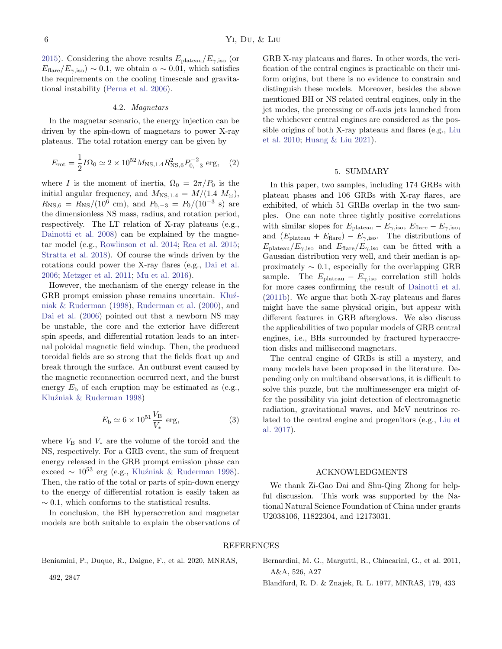[2015\)](#page-6-60). Considering the above results  $E_{\text{plateau}}/E_{\gamma,\text{iso}}$  (or  $E_{\text{flare}}/E_{\gamma,\text{iso}}$  ~ 0.1, we obtain  $\alpha \sim 0.01$ , which satisfies the requirements on the cooling timescale and gravitational instability [\(Perna et al.](#page-7-25) [2006\)](#page-7-25).

### 4.2. Magnetars

In the magnetar scenario, the energy injection can be driven by the spin-down of magnetars to power X-ray plateaus. The total rotation energy can be given by

$$
E_{\rm rot} = \frac{1}{2} I \Omega_0 \simeq 2 \times 10^{52} M_{\rm NS, 1.4} R_{\rm NS, 6}^2 P_{0, -3}^{-2} \text{ erg}, \quad (2)
$$

where I is the moment of inertia,  $\Omega_0 = 2\pi/P_0$  is the initial angular frequency, and  $M_{\text{NS},1.4} = M/(1.4 \, M_{\odot})$ ,  $R_{\rm NS,6} = R_{\rm NS}/(10^6 \text{ cm})$ , and  $P_{0,-3} = P_0/(10^{-3} \text{ s})$  are the dimensionless NS mass, radius, and rotation period, respectively. The LT relation of X-ray plateaus (e.g., [Dainotti et al.](#page-6-13) [2008\)](#page-6-13) can be explained by the magnetar model (e.g., [Rowlinson et al.](#page-7-33) [2014;](#page-7-33) [Rea et al.](#page-7-34) [2015;](#page-7-34) [Stratta et al.](#page-7-35) [2018\)](#page-7-35). Of course the winds driven by the rotations could power the X-ray flares (e.g., [Dai et al.](#page-6-38) [2006;](#page-6-38) [Metzger et al.](#page-6-61) [2011;](#page-6-61) [Mu et al.](#page-6-35) [2016\)](#page-6-35).

However, the mechanism of the energy release in the GRB prompt emission phase remains uncertain. Kluź[niak & Ruderman](#page-6-62) [\(1998\)](#page-6-62), [Ruderman et al.](#page-7-36) [\(2000\)](#page-7-36), and [Dai et al.](#page-6-38) [\(2006\)](#page-6-38) pointed out that a newborn NS may be unstable, the core and the exterior have different spin speeds, and differential rotation leads to an internal poloidal magnetic field windup. Then, the produced toroidal fields are so strong that the fields float up and break through the surface. An outburst event caused by the magnetic reconnection occurred next, and the burst energy  $E<sub>b</sub>$  of each eruption may be estimated as (e.g., Kluźniak & Ruderman [1998\)](#page-6-62)

$$
E_{\rm b} \simeq 6 \times 10^{51} \frac{V_{\rm B}}{V_*} \text{ erg}, \tag{3}
$$

where  $V_{\text{B}}$  and  $V_{*}$  are the volume of the toroid and the NS, respectively. For a GRB event, the sum of frequent energy released in the GRB prompt emission phase can exceed ~  $10^{53}$  erg (e.g., Kluźniak & Ruderman [1998\)](#page-6-62). Then, the ratio of the total or parts of spin-down energy to the energy of differential rotation is easily taken as  $\sim$  0.1, which conforms to the statistical results.

In conclusion, the BH hyperaccretion and magnetar models are both suitable to explain the observations of GRB X-ray plateaus and flares. In other words, the verification of the central engines is practicable on their uniform origins, but there is no evidence to constrain and distinguish these models. Moreover, besides the above mentioned BH or NS related central engines, only in the jet modes, the precessing or off-axis jets launched from the whichever central engines are considered as the possible origins of both X-ray plateaus and flares (e.g., [Liu](#page-6-43) [et al.](#page-6-43) [2010;](#page-6-43) [Huang & Liu](#page-6-29) [2021\)](#page-6-29).

# 5. SUMMARY

In this paper, two samples, including 174 GRBs with plateau phases and 106 GRBs with X-ray flares, are exhibited, of which 51 GRBs overlap in the two samples. One can note three tightly positive correlations with similar slopes for  $E_{\text{plateau}} - E_{\gamma,\text{iso}}$ ,  $E_{\text{flare}} - E_{\gamma,\text{iso}}$ , and  $(E_{\text{plateau}} + E_{\text{flare}}) - E_{\gamma,\text{iso}}$ . The distributions of  $E_{\rm plateau}/E_{\rm \gamma,iso}$  and  $E_{\rm flare}/E_{\rm \gamma,iso}$  can be fitted with a Gaussian distribution very well, and their median is approximately  $\sim 0.1$ , especially for the overlapping GRB sample. The  $E_{\text{plateau}} - E_{\gamma,\text{iso}}$  correlation still holds for more cases confirming the result of [Dainotti et al.](#page-6-55) [\(2011b\)](#page-6-55). We argue that both X-ray plateaus and flares might have the same physical origin, but appear with different features in GRB afterglows. We also discuss the applicabilities of two popular models of GRB central engines, i.e., BHs surrounded by fractured hyperaccretion disks and millisecond magnetars.

The central engine of GRBs is still a mystery, and many models have been proposed in the literature. Depending only on multiband observations, it is difficult to solve this puzzle, but the multimessenger era might offer the possibility via joint detection of electromagnetic radiation, gravitational waves, and MeV neutrinos related to the central engine and progenitors (e.g., [Liu et](#page-6-6) [al.](#page-6-6) [2017\)](#page-6-6).

## ACKNOWLEDGMENTS

We thank Zi-Gao Dai and Shu-Qing Zhong for helpful discussion. This work was supported by the National Natural Science Foundation of China under grants U2038106, 11822304, and 12173031.

## REFERENCES

<span id="page-5-0"></span>Beniamini, P., Duque, R., Daigne, F., et al. 2020, MNRAS,

<span id="page-5-1"></span>Bernardini, M. G., Margutti, R., Chincarini, G., et al. 2011, A&A, 526, A27

492, 2847

<span id="page-5-2"></span>Blandford, R. D. & Znajek, R. L. 1977, MNRAS, 179, 433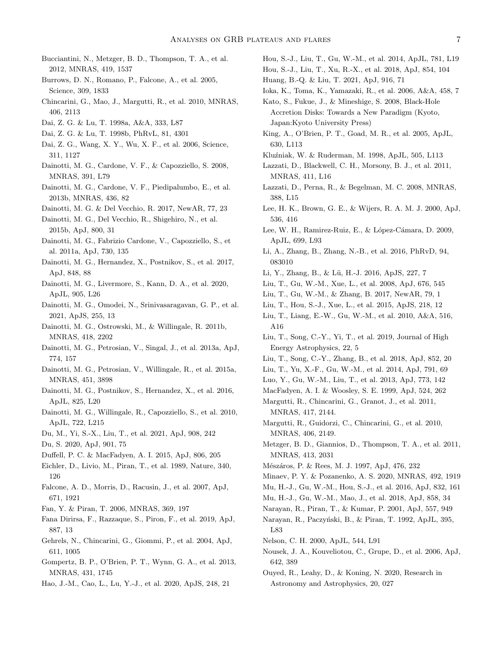- <span id="page-6-22"></span>Bucciantini, N., Metzger, B. D., Thompson, T. A., et al. 2012, MNRAS, 419, 1537
- <span id="page-6-30"></span>Burrows, D. N., Romano, P., Falcone, A., et al. 2005, Science, 309, 1833
- <span id="page-6-32"></span>Chincarini, G., Mao, J., Margutti, R., et al. 2010, MNRAS, 406, 2113
- <span id="page-6-7"></span>Dai, Z. G. & Lu, T. 1998a, A&A, 333, L87
- <span id="page-6-38"></span><span id="page-6-8"></span>Dai, Z. G. & Lu, T. 1998b, PhRvL, 81, 4301
- Dai, Z. G., Wang, X. Y., Wu, X. F., et al. 2006, Science, 311, 1127
- <span id="page-6-13"></span>Dainotti, M. G., Cardone, V. F., & Capozziello, S. 2008, MNRAS, 391, L79
- <span id="page-6-47"></span>Dainotti, M. G., Cardone, V. F., Piedipalumbo, E., et al. 2013b, MNRAS, 436, 82
- <span id="page-6-19"></span>Dainotti, M. G. & Del Vecchio, R. 2017, NewAR, 77, 23
- <span id="page-6-56"></span>Dainotti, M. G., Del Vecchio, R., Shigehiro, N., et al. 2015b, ApJ, 800, 31
- <span id="page-6-15"></span>Dainotti, M. G., Fabrizio Cardone, V., Capozziello, S., et al. 2011a, ApJ, 730, 135
- <span id="page-6-49"></span>Dainotti, M. G., Hernandez, X., Postnikov, S., et al. 2017, ApJ, 848, 88
- <span id="page-6-20"></span>Dainotti, M. G., Livermore, S., Kann, D. A., et al. 2020, ApJL, 905, L26
- <span id="page-6-21"></span>Dainotti, M. G., Omodei, N., Srinivasaragavan, G. P., et al. 2021, ApJS, 255, 13
- <span id="page-6-55"></span>Dainotti, M. G., Ostrowski, M., & Willingale, R. 2011b, MNRAS, 418, 2202
- <span id="page-6-16"></span>Dainotti, M. G., Petrosian, V., Singal, J., et al. 2013a, ApJ, 774, 157
- <span id="page-6-48"></span>Dainotti, M. G., Petrosian, V., Willingale, R., et al. 2015a, MNRAS, 451, 3898
- <span id="page-6-17"></span>Dainotti, M. G., Postnikov, S., Hernandez, X., et al. 2016, ApJL, 825, L20
- <span id="page-6-14"></span>Dainotti, M. G., Willingale, R., Capozziello, S., et al. 2010, ApJL, 722, L215
- <span id="page-6-54"></span><span id="page-6-18"></span>Du, M., Yi, S.-X., Liu, T., et al. 2021, ApJ, 908, 242
- Du, S. 2020, ApJ, 901, 75
- <span id="page-6-28"></span>Duffell, P. C. & MacFadyen, A. I. 2015, ApJ, 806, 205
- <span id="page-6-1"></span>Eichler, D., Livio, M., Piran, T., et al. 1989, Nature, 340, 126
- <span id="page-6-31"></span>Falcone, A. D., Morris, D., Racusin, J., et al. 2007, ApJ, 671, 1921
- <span id="page-6-11"></span>Fan, Y. & Piran, T. 2006, MNRAS, 369, 197
- <span id="page-6-51"></span>Fana Dirirsa, F., Razzaque, S., Piron, F., et al. 2019, ApJ, 887, 13
- <span id="page-6-9"></span>Gehrels, N., Chincarini, G., Giommi, P., et al. 2004, ApJ, 611, 1005
- <span id="page-6-23"></span>Gompertz, B. P., O'Brien, P. T., Wynn, G. A., et al. 2013, MNRAS, 431, 1745
- <span id="page-6-53"></span>Hao, J.-M., Cao, L., Lu, Y.-J., et al. 2020, ApJS, 248, 21
- <span id="page-6-44"></span>Hou, S.-J., Liu, T., Gu, W.-M., et al. 2014, ApJL, 781, L19
- <span id="page-6-29"></span><span id="page-6-25"></span>Hou, S.-J., Liu, T., Xu, R.-X., et al. 2018, ApJ, 854, 104 Huang, B.-Q. & Liu, T. 2021, ApJ, 916, 71
- <span id="page-6-27"></span>Ioka, K., Toma, K., Yamazaki, R., et al. 2006, A&A, 458, 7
- <span id="page-6-58"></span>Kato, S., Fukue, J., & Mineshige, S. 2008, Black-Hole Accretion Disks: Towards a New Paradigm (Kyoto, Japan:Kyoto University Press)
- <span id="page-6-37"></span>King, A., O'Brien, P. T., Goad, M. R., et al. 2005, ApJL, 630, L113
- <span id="page-6-62"></span>Kluźniak, W. & Ruderman, M. 1998, ApJL, 505, L113
- <span id="page-6-45"></span>Lazzati, D., Blackwell, C. H., Morsony, B. J., et al. 2011, MNRAS, 411, L16
- <span id="page-6-39"></span>Lazzati, D., Perna, R., & Begelman, M. C. 2008, MNRAS, 388, L15
- <span id="page-6-59"></span>Lee, H. K., Brown, G. E., & Wijers, R. A. M. J. 2000, ApJ, 536, 416
- <span id="page-6-42"></span>Lee, W. H., Ramirez-Ruiz, E., & López-Cámara, D. 2009, ApJL, 699, L93
- <span id="page-6-24"></span>Li, A., Zhang, B., Zhang, N.-B., et al. 2016, PhRvD, 94, 083010
- <span id="page-6-50"></span>Li, Y., Zhang, B., & Lu, H.-J. 2016, ApJS, 227, 7 ¨
- <span id="page-6-40"></span><span id="page-6-6"></span>Liu, T., Gu, W.-M., Xue, L., et al. 2008, ApJ, 676, 545
- <span id="page-6-60"></span>Liu, T., Gu, W.-M., & Zhang, B. 2017, NewAR, 79, 1
- Liu, T., Hou, S.-J., Xue, L., et al. 2015, ApJS, 218, 12
- <span id="page-6-43"></span>Liu, T., Liang, E.-W., Gu, W.-M., et al. 2010, A&A, 516, A16
- <span id="page-6-5"></span>Liu, T., Song, C.-Y., Yi, T., et al. 2019, Journal of High Energy Astrophysics, 22, 5
- <span id="page-6-4"></span>Liu, T., Song, C.-Y., Zhang, B., et al. 2018, ApJ, 852, 20
- <span id="page-6-41"></span>Liu, T., Yu, X.-F., Gu, W.-M., et al. 2014, ApJ, 791, 69
- <span id="page-6-46"></span>Luo, Y., Gu, W.-M., Liu, T., et al. 2013, ApJ, 773, 142
- <span id="page-6-0"></span>MacFadyen, A. I. & Woosley, S. E. 1999, ApJ, 524, 262
- <span id="page-6-34"></span>Margutti, R., Chincarini, G., Granot, J., et al. 2011, MNRAS, 417, 2144.
- <span id="page-6-33"></span>Margutti, R., Guidorzi, C., Chincarini, G., et al. 2010, MNRAS, 406, 2149.
- <span id="page-6-61"></span>Metzger, B. D., Giannios, D., Thompson, T. A., et al. 2011, MNRAS, 413, 2031
- <span id="page-6-52"></span><span id="page-6-10"></span>Mészáros, P. & Rees, M. J. 1997, ApJ, 476, 232
- Minaev, P. Y. & Pozanenko, A. S. 2020, MNRAS, 492, 1919
- <span id="page-6-35"></span>Mu, H.-J., Gu, W.-M., Hou, S.-J., et al. 2016, ApJ, 832, 161
- <span id="page-6-36"></span>Mu, H.-J., Gu, W.-M., Mao, J., et al. 2018, ApJ, 858, 34
- <span id="page-6-3"></span>Narayan, R., Piran, T., & Kumar, P. 2001, ApJ, 557, 949
- <span id="page-6-2"></span>Narayan, R., Paczyński, B., & Piran, T. 1992, ApJL, 395, L83
- <span id="page-6-57"></span>Nelson, C. H. 2000, ApJL, 544, L91
- <span id="page-6-12"></span>Nousek, J. A., Kouveliotou, C., Grupe, D., et al. 2006, ApJ, 642, 389
- <span id="page-6-26"></span>Ouyed, R., Leahy, D., & Koning, N. 2020, Research in Astronomy and Astrophysics, 20, 027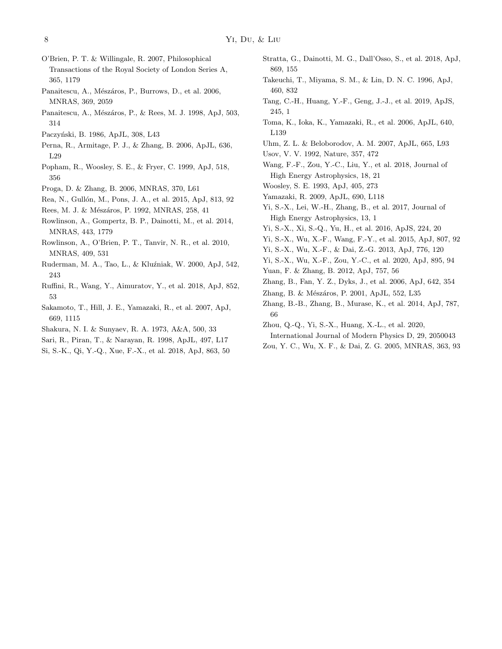- <span id="page-7-16"></span>O'Brien, P. T. & Willingale, R. 2007, Philosophical Transactions of the Royal Society of London Series A, 365, 1179
- <span id="page-7-22"></span>Panaitescu, A., Mészáros, P., Burrows, D., et al. 2006, MNRAS, 369, 2059
- <span id="page-7-7"></span>Panaitescu, A., Mészáros, P., & Rees, M. J. 1998, ApJ, 503, 314
- <span id="page-7-25"></span><span id="page-7-1"></span>Paczyński, B. 1986, ApJL, 308, L43
- Perna, R., Armitage, P. J., & Zhang, B. 2006, ApJL, 636, L29
- <span id="page-7-2"></span>Popham, R., Woosley, S. E., & Fryer, C. 1999, ApJ, 518, 356
- <span id="page-7-34"></span><span id="page-7-24"></span>Proga, D. & Zhang, B. 2006, MNRAS, 370, L61
- Rea, N., Gullón, M., Pons, J. A., et al. 2015, ApJ, 813, 92
- <span id="page-7-6"></span>Rees, M. J. & Mészáros, P. 1992, MNRAS, 258, 41
- <span id="page-7-33"></span>Rowlinson, A., Gompertz, B. P., Dainotti, M., et al. 2014, MNRAS, 443, 1779
- <span id="page-7-19"></span>Rowlinson, A., O'Brien, P. T., Tanvir, N. R., et al. 2010, MNRAS, 409, 531
- <span id="page-7-36"></span>Ruderman, M. A., Tao, L., & Kluźniak, W. 2000, ApJ, 542, 243
- <span id="page-7-29"></span>Ruffini, R., Wang, Y., Aimuratov, Y., et al. 2018, ApJ, 852, 53
- <span id="page-7-17"></span>Sakamoto, T., Hill, J. E., Yamazaki, R., et al. 2007, ApJ, 669, 1115
- <span id="page-7-32"></span>Shakura, N. I. & Sunyaev, R. A. 1973, A&A, 500, 33
- <span id="page-7-8"></span>Sari, R., Piran, T., & Narayan, R. 1998, ApJL, 497, L17
- <span id="page-7-18"></span>Si, S.-K., Qi, Y.-Q., Xue, F.-X., et al. 2018, ApJ, 863, 50
- <span id="page-7-35"></span>Stratta, G., Dainotti, M. G., Dall'Osso, S., et al. 2018, ApJ, 869, 155
- <span id="page-7-31"></span>Takeuchi, T., Miyama, S. M., & Lin, D. N. C. 1996, ApJ, 460, 832
- <span id="page-7-14"></span>Tang, C.-H., Huang, Y.-F., Geng, J.-J., et al. 2019, ApJS, 245, 1
- <span id="page-7-20"></span>Toma, K., Ioka, K., Yamazaki, R., et al. 2006, ApJL, 640, L139
- <span id="page-7-23"></span><span id="page-7-4"></span>Uhm, Z. L. & Beloborodov, A. M. 2007, ApJL, 665, L93
- Usov, V. V. 1992, Nature, 357, 472
- <span id="page-7-30"></span>Wang, F.-F., Zou, Y.-C., Liu, Y., et al. 2018, Journal of High Energy Astrophysics, 18, 21
- <span id="page-7-21"></span><span id="page-7-0"></span>Woosley, S. E. 1993, ApJ, 405, 273
- Yamazaki, R. 2009, ApJL, 690, L118
- <span id="page-7-3"></span>Yi, S.-X., Lei, W.-H., Zhang, B., et al. 2017, Journal of High Energy Astrophysics, 13, 1
- <span id="page-7-13"></span>Yi, S.-X., Xi, S.-Q., Yu, H., et al. 2016, ApJS, 224, 20
- <span id="page-7-28"></span>Yi, S.-X., Wu, X.-F., Wang, F.-Y., et al. 2015, ApJ, 807, 92
- <span id="page-7-10"></span>Yi, S.-X., Wu, X.-F., & Dai, Z.-G. 2013, ApJ, 776, 120
- <span id="page-7-11"></span>Yi, S.-X., Wu, X.-F., Zou, Y.-C., et al. 2020, ApJ, 895, 94
- <span id="page-7-26"></span>Yuan, F. & Zhang, B. 2012, ApJ, 757, 56
- <span id="page-7-15"></span>Zhang, B., Fan, Y. Z., Dyks, J., et al. 2006, ApJ, 642, 354
- <span id="page-7-5"></span>Zhang, B. & Mészáros, P. 2001, ApJL, 552, L35
- <span id="page-7-27"></span>Zhang, B.-B., Zhang, B., Murase, K., et al. 2014, ApJ, 787, 66
- <span id="page-7-12"></span>Zhou, Q.-Q., Yi, S.-X., Huang, X.-L., et al. 2020,
- International Journal of Modern Physics D, 29, 2050043
- <span id="page-7-9"></span>Zou, Y. C., Wu, X. F., & Dai, Z. G. 2005, MNRAS, 363, 93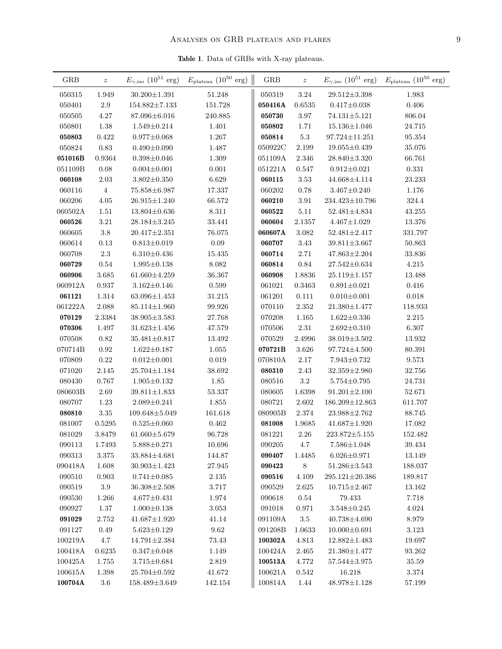Table 1. Data of GRBs with X-ray plateaus.

| <b>GRB</b>        | $\boldsymbol{z}$ |                      | $E_{\gamma,\mathrm{iso}}$ (10 <sup>51</sup> erg) $E_{\mathrm{plateau}}$ (10 <sup>50</sup> erg) | ${\rm GRB}$ | $\boldsymbol{z}$ |                      | $E_{\gamma,\mathrm{iso}}$ (10 <sup>51</sup> erg) $E_{\mathrm{plateau}}$ (10 <sup>50</sup> erg) |
|-------------------|------------------|----------------------|------------------------------------------------------------------------------------------------|-------------|------------------|----------------------|------------------------------------------------------------------------------------------------|
| 050315            | 1.949            | $30.200 {\pm} 1.391$ | 51.248                                                                                         | 050319      | 3.24             | $29.512 \pm 3.398$   | 1.983                                                                                          |
| 050401            | $2.9\,$          | $154.882 \pm 7.133$  | 151.728                                                                                        | 050416A     | 0.6535           | $0.417 \pm 0.038$    | $0.406\,$                                                                                      |
| 050505            | 4.27             | 87.096±6.016         | 240.885                                                                                        | 050730      | 3.97             | $74.131 \pm 5.121$   | 806.04                                                                                         |
| 050801            | 1.38             | $1.549 \pm 0.214$    | $1.401\,$                                                                                      | 050802      | 1.71             | $15.136 \pm 1.046$   | 24.715                                                                                         |
| 050803            | 0.422            | $0.977 \pm 0.068$    | 1.267                                                                                          | 050814      | $5.3\,$          | $97.724 \pm 11.251$  | 95.354                                                                                         |
| 050824            | $0.83\,$         | $0.490 \pm 0.090$    | 1.487                                                                                          | 050922C     | $2.199\,$        | $19.055 \pm 0.439$   | 35.076                                                                                         |
| 051016B           | 0.9364           | $0.398 \pm 0.046$    | 1.309                                                                                          | 051109A     | 2.346            | $28.840 \pm 3.320$   | 66.761                                                                                         |
| 051109B           | 0.08             | $0.004 \pm 0.001$    | 0.001                                                                                          | 051221A     | 0.547            | $0.912 \pm 0.021$    | $0.331\,$                                                                                      |
| 060108            | 2.03             | $3.802 \pm 0.350$    | 6.629                                                                                          | 060115      | 3.53             | 44.668±4.114         | 23.233                                                                                         |
| 060116            | $\overline{4}$   | 75.858±6.987         | 17.337                                                                                         | 060202      | $0.78\,$         | $3.467 \pm 0.240$    | 1.176                                                                                          |
| ${\small 060206}$ | 4.05             | $26.915 \pm 1.240$   | 66.572                                                                                         | 060210      | 3.91             | $234.423{\pm}10.796$ | $324.4\,$                                                                                      |
| 060502A           | 1.51             | $13.804 \pm 0.636$   | 8.311                                                                                          | 060522      | 5.11             | $52.481 \pm 4.834$   | 43.255                                                                                         |
| 060526            | 3.21             | $28.184 \pm 3.245$   | 33.441                                                                                         | 060604      | 2.1357           | $4.467 \pm 1.029$    | 13.376                                                                                         |
| 060605            | $3.8\,$          | $20.417 \pm 2.351$   | 76.075                                                                                         | 060607A     | 3.082            | $52.481 \pm 2.417$   | 331.797                                                                                        |
| 060614            | 0.13             | $0.813 \pm 0.019$    | $0.09\,$                                                                                       | 060707      | 3.43             | $39.811 \pm 3.667$   | 50.863                                                                                         |
| 060708            | $2.3\,$          | $6.310 \pm 0.436$    | 15.435                                                                                         | 060714      | $2.71\,$         | $47.863 \pm 2.204$   | 33.836                                                                                         |
| 060729            | 0.54             | $1.995 \pm 0.138$    | $8.082\,$                                                                                      | 060814      | 0.84             | $27.542 \pm 0.634$   | 4.215                                                                                          |
| 060906            | 3.685            | $61.660 \pm 4.259$   | 36.367                                                                                         | 060908      | 1.8836           | $25.119 \pm 1.157$   | 13.488                                                                                         |
| 060912A           | 0.937            | $3.162 \pm 0.146$    | 0.599                                                                                          | 061021      | 0.3463           | $0.891{\pm}0.021$    | 0.416                                                                                          |
| 061121            | 1.314            | $63.096 \pm 1.453$   | 31.215                                                                                         | 061201      | 0.111            | $0.010 \pm 0.001$    | 0.018                                                                                          |
| 061222A           | $2.088\,$        | 85.114±1.960         | 99.926                                                                                         | 070110      | 2.352            | $21.380 \pm 1.477$   | 118.933                                                                                        |
| 070129            | 2.3384           | $38.905 \pm 3.583$   | 27.768                                                                                         | 070208      | 1.165            | $1.622 \pm 0.336$    | 2.215                                                                                          |
| 070306            | 1.497            | $31.623 \pm 1.456$   | 47.579                                                                                         | 070506      | $2.31\,$         | $2.692 \pm 0.310$    | 6.307                                                                                          |
| 070508            | 0.82             | $35.481 \pm 0.817$   | 13.492                                                                                         | 070529      | 2.4996           | $38.019 \pm 3.502$   | $13.932\,$                                                                                     |
| 070714B           | 0.92             | $1.622 \pm 0.187$    | 1.055                                                                                          | 070721B     | 3.626            | $97.724 {\pm} 4.500$ | 80.391                                                                                         |
| 070809            | 0.22             | $0.012 \pm 0.001$    | 0.019                                                                                          | 070810A     | 2.17             | $7.943 \pm 0.732$    | 9.573                                                                                          |
| 071020            | 2.145            | $25.704 \pm 1.184$   | 38.692                                                                                         | 080310      | 2.43             | $32.359 \pm 2.980$   | 32.756                                                                                         |
| 080430            | 0.767            | $1.905 \pm 0.132$    | 1.85                                                                                           | 080516      | $3.2\,$          | $5.754 \pm 0.795$    | 24.731                                                                                         |
| 080603B           | 2.69             | $39.811 \pm 1.833$   | 53.337                                                                                         | 080605      | 1.6398           | $91.201 \pm 2.100$   | 52.671                                                                                         |
| 080707            | 1.23             | $2.089 \pm 0.241$    | $1.855\,$                                                                                      | 080721      | 2.602            | $186.209 \pm 12.863$ | 611.707                                                                                        |
| 080810            | 3.35             | $109.648 \pm 5.049$  | 161.618                                                                                        | 080905B     | 2.374            | $23.988 \pm 2.762$   | 88.745                                                                                         |
| 081007            | 0.5295           | $0.525 \pm 0.060$    | 0.462                                                                                          | 081008      | 1.9685           | $41.687 \pm 1.920$   | 17.082                                                                                         |
| 081029            | 3.8479           | $61.660 \pm 5.679$   | 96.728                                                                                         | 081221      | 2.26             | $223.872 \pm 5.155$  | 152.482                                                                                        |
| 090113            | 1.7493           | $5.888 \pm 0.271$    | 10.696                                                                                         | 090205      | 4.7              | $7.586 \pm 1.048$    | 39.434                                                                                         |
| 090313            | 3.375            | 33.884±4.681         | 144.87                                                                                         | 090407      | 1.4485           | $6.026 \pm 0.971$    | 13.149                                                                                         |
| 090418A           | 1.608            | $30.903 \pm 1.423$   | 27.945                                                                                         | 090423      | $8\,$            | $51.286{\pm}3.543$   | 188.037                                                                                        |
| 090510            | 0.903            | $0.741 \pm 0.085$    | 2.135                                                                                          | 090516      | 4.109            | $295.121 \pm 20.386$ | 189.817                                                                                        |
| 090519            | 3.9              | $36.308 \pm 2.508$   | 3.717                                                                                          | 090529      | 2.625            | $10.715 \pm 2.467$   | $13.162\,$                                                                                     |
| 090530            | 1.266            | $4.677 \pm 0.431$    | 1.974                                                                                          | 090618      | 0.54             | 79.433               | 7.718                                                                                          |
| 090927            | 1.37             | $1.000 \pm 0.138$    | 3.053                                                                                          | 091018      | 0.971            | $3.548 \pm 0.245$    | 4.024                                                                                          |
| 091029            | 2.752            | $41.687 \pm 1.920$   | 41.14                                                                                          | 091109A     | 3.5              | $40.738 \pm 4.690$   | 8.979                                                                                          |
| 091127            | 0.49             | $5.623 \pm 0.129$    | 9.62                                                                                           | 091208B     | 1.0633           | $10.000 \pm 0.691$   | $3.123\,$                                                                                      |
| 100219A           | $4.7\,$          | $14.791 \pm 2.384$   | 73.43                                                                                          | 100302A     | 4.813            | $12.882 \pm 1.483$   | 19.697                                                                                         |
| 100418A           | 0.6235           | $0.347 \pm 0.048$    | 1.149                                                                                          | 100424A     | 2.465            | $21.380 \pm 1.477$   | 93.262                                                                                         |
| 100425A           | 1.755            | $3.715 \pm 0.684$    | 2.819                                                                                          | 100513A     | 4.772            | $57.544 \pm 3.975$   | 35.59                                                                                          |
| 100615A           | 1.398            | $25.704 \pm 0.592$   | 41.672                                                                                         | 100621A     | 0.542            | 16.218               | 3.374                                                                                          |
| 100704A           | $3.6\,$          | 158.489±3.649        | 142.154                                                                                        | 100814A     | 1.44             | $48.978 \pm 1.128$   | $57.199\,$                                                                                     |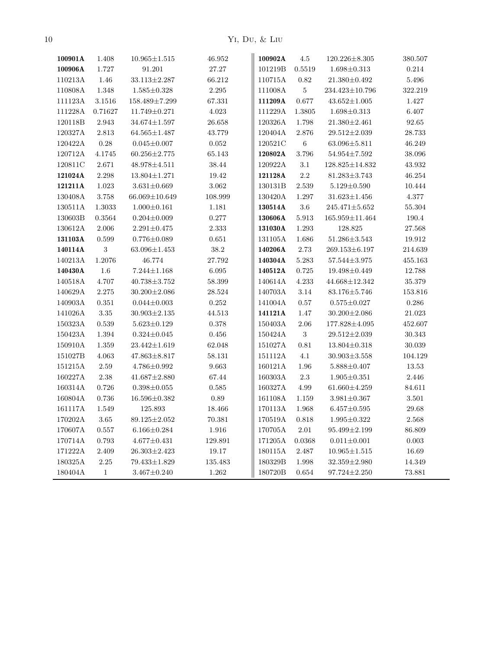10 Yi, Du, & Liu

| 100901A            | 1.408        | $10.965 \pm 1.515$  | 46.952      | 100902A            | $4.5\,$        | $120.226 \pm 8.305$  | 380.507   |
|--------------------|--------------|---------------------|-------------|--------------------|----------------|----------------------|-----------|
| 100906A            | 1.727        | 91.201              | $27.27\,$   | 101219B            | 0.5519         | $1.698 \pm 0.313$    | $0.214\,$ |
| 110213A            | $1.46\,$     | $33.113 \pm 2.287$  | 66.212      | $110715\mbox{\AA}$ | 0.82           | $21.380 \pm 0.492$   | $5.496\,$ |
| 110808A            | 1.348        | $1.585 \pm 0.328$   | 2.295       | $111008\mbox{\AA}$ | $\bf 5$        | 234.423±10.796       | 322.219   |
| 111123A            | $3.1516\,$   | 158.489±7.299       | 67.331      | 111209A            | $0.677\,$      | $43.652 \pm 1.005$   | $1.427\,$ |
| 111228A            | 0.71627      | $11.749 \pm 0.271$  | 4.023       | 111229A            | 1.3805         | $1.698 \pm 0.313$    | 6.407     |
| 120118B            | 2.943        | $34.674 \pm 1.597$  | 26.658      | 120326A            | 1.798          | $21.380 \pm 2.461$   | 92.65     |
| 120327A            | $2.813\,$    | $64.565 \pm 1.487$  | 43.779      | 120404A            | 2.876          | $29.512 \pm 2.039$   | 28.733    |
| 120422A            | $0.28\,$     | $0.045 \pm 0.007$   | 0.052       | 120521C            | $\,6\,$        | $63.096 \pm 5.811$   | 46.249    |
| 120712A            | 4.1745       | $60.256 \pm 2.775$  | 65.143      | 120802A            | 3.796          | $54.954 \pm 7.592$   | 38.096    |
| 120811C            | $2.671\,$    | 48.978±4.511        | $38.44\,$   | 120922A            | $3.1\,$        | $128.825 \pm 14.832$ | 43.932    |
| $121024\mbox{\AA}$ | 2.298        | $13.804 \pm 1.271$  | $19.42\,$   | 121128A            | $2.2\,$        | $81.283 \pm 3.743$   | 46.254    |
| 121211A            | $1.023\,$    | $3.631 \pm 0.669$   | 3.062       | 130131B            | 2.539          | $5.129 \pm 0.590$    | 10.444    |
| 130408A            | 3.758        | $66.069 \pm 10.649$ | 108.999     | 130420A            | 1.297          | $31.623 \pm 1.456$   | 4.377     |
| 130511A            | 1.3033       | $1.000 \pm 0.161$   | 1.181       | 130514A            | $3.6\,$        | $245.471 \pm 5.652$  | 55.304    |
| 130603B            | 0.3564       | $0.204 \pm 0.009$   | $0.277\,$   | 130606A            | 5.913          | $165.959 \pm 11.464$ | $190.4\,$ |
| 130612A            | $2.006\,$    | $2.291{\pm}0.475$   | 2.333       | $131030\mbox{\AA}$ | 1.293          | 128.825              | 27.568    |
| 131103A            | 0.599        | $0.776 \pm 0.089$   | 0.651       | 131105A            | 1.686          | $51.286 \pm 3.543$   | 19.912    |
| 140114A            | 3            | $63.096 \pm 1.453$  | $38.2\,$    | $140206\mbox{\AA}$ | 2.73           | $269.153\pm 6.197$   | 214.639   |
| 140213A            | 1.2076       | 46.774              | 27.792      | 140304A            | 5.283          | $57.544 \pm 3.975$   | 455.163   |
| 140430A            | 1.6          | $7.244 \pm 1.168$   | $6.095\,$   | 140512A            | $0.725\,$      | 19.498±0.449         | 12.788    |
| 140518A            | 4.707        | $40.738 \pm 3.752$  | 58.399      | 140614A            | 4.233          | 44.668±12.342        | 35.379    |
| 140629A            | $2.275\,$    | $30.200 \pm 2.086$  | 28.524      | 140703A            | $3.14\,$       | $83.176 \pm 5.746$   | 153.816   |
| 140903A            | 0.351        | $0.044 \pm 0.003$   | 0.252       | 141004A            | 0.57           | $0.575 \pm 0.027$    | 0.286     |
| 141026A            | 3.35         | $30.903 \pm 2.135$  | 44.513      | 141121A            | 1.47           | $30.200 \pm 2.086$   | 21.023    |
| 150323A            | 0.539        | $5.623 \pm 0.129$   | 0.378       | 150403A            | 2.06           | 177.828±4.095        | 452.607   |
| 150423A            | $1.394\,$    | $0.324 \pm 0.045$   | $0.456\,$   | 150424A            | $\overline{3}$ | $29.512 \pm 2.039$   | 30.343    |
| $150910\mbox{\AA}$ | 1.359        | $23.442 \pm 1.619$  | 62.048      | 151027A            | 0.81           | $13.804 \pm 0.318$   | 30.039    |
| 151027B            | 4.063        | $47.863 \pm 8.817$  | 58.131      | 151112A            | 4.1            | $30.903 \pm 3.558$   | 104.129   |
| 151215A            | 2.59         | $4.786 \pm 0.992$   | 9.663       | 160121A            | 1.96           | $5.888 \pm 0.407$    | 13.53     |
| 160227A            | 2.38         | $41.687 \pm 2.880$  | 67.44       | $160303\mbox{\AA}$ | $2.3\,$        | $1.905 \pm 0.351$    | 2.446     |
| $160314\mathrm{A}$ | $0.726\,$    | $0.398 \pm 0.055$   | 0.585       | 160327A            | $4.99\,$       | $61.660 \pm 4.259$   | 84.611    |
| 160804A            | $0.736\,$    | $16.596 \pm 0.382$  | $0.89\,$    | 161108A            | 1.159          | $3.981 \pm 0.367$    | 3.501     |
| 161117A            | 1.549        | 125.893             | 18.466      | 170113A            | 1.968          | $6.457 \pm 0.595$    | 29.68     |
| 170202A            | $3.65\,$     | $89.125 \pm 2.052$  | 70.381      | 170519A            | 0.818          | $1.995 \pm 0.322$    | 2.568     |
| 170607A            | 0.557        | $6.166 \pm 0.284$   | 1.916       | 170705A            | $2.01\,$       | $95.499 \pm 2.199$   | 86.809    |
| 170714A            | $\,0.793\,$  | $4.677 \pm 0.431$   | $129.891\,$ | 171205A            | 0.0368         | $0.011 \pm 0.001$    | 0.003     |
| 171222A            | 2.409        | $26.303 \pm 2.423$  | 19.17       | 180115A            | 2.487          | $10.965 \pm 1.515$   | 16.69     |
| 180325A            | $2.25\,$     | 79.433±1.829        | 135.483     | 180329B            | 1.998          | $32.359 \pm 2.980$   | 14.349    |
| 180404A            | $\mathbf{1}$ | $3.467 \pm 0.240$   | 1.262       | 180720B            | 0.654          | $97.724 \pm 2.250$   | 73.881    |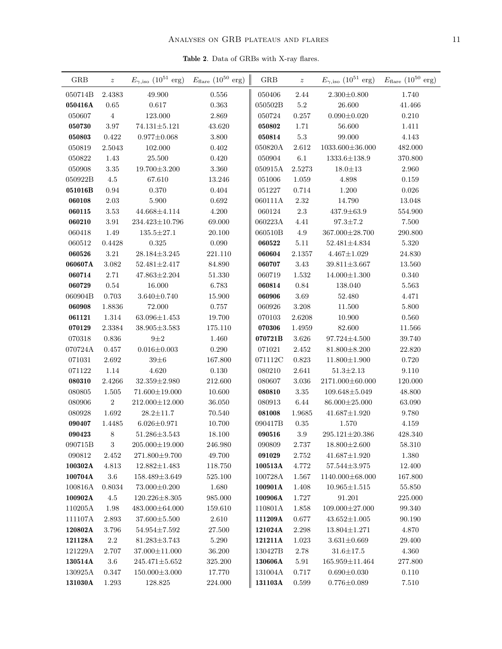Table 2. Data of GRBs with X-ray flares.

| 2.4383<br>49.900<br>050406<br>$2.44\,$<br>1.740<br>050714B<br>0.556<br>$2.300 \pm 0.800$<br>0.617<br>$5.2\,$<br>050416A<br>0.65<br>$\,0.363\,$<br>050502B<br>26.600<br>41.466<br>$\overline{4}$<br>050607<br>123.000<br>2.869<br>050724<br>0.257<br>$0.090 \pm 0.020$<br>0.210<br>1.71<br>050730<br>3.97<br>$74.131 \pm 5.121$<br>43.620<br>050802<br>56.600<br>1.411<br>$5.3\,$<br>$4.143\,$<br>050803<br>$0.422\,$<br>$0.977 \pm 0.068$<br>$3.800\,$<br>050814<br>99.000<br>050819<br>$2.612\,$<br>482.000<br>2.5043<br>102.000<br>0.402<br>050820A<br>$1033.600 \pm 36.000$<br>6.1<br>050822<br>1.43<br>25.500<br>$0.420\,$<br>050904<br>$1333.6 \pm 138.9$<br>370.800<br>050908<br>3.35<br>$19.700 \pm 3.200$<br>3.360<br>050915A<br>2.5273<br>$18.0 \pm 13$<br>2.960<br>050922B<br>4.5<br>67.610<br>13.246<br>051006<br>1.059<br>4.898<br>0.159<br>0.94<br>0.370<br>0.404<br>1.200<br>0.026<br>051016B<br>051227<br>0.714<br>$2.03\,$<br>5.900<br>0.692<br>060111A<br>2.32<br>14.790<br>060108<br>13.048<br>$2.3\,$<br>060115<br>3.53<br>44.668±4.114<br>4.200<br>060124<br>$437.9 \pm 63.9$<br>554.900<br>060210<br>3.91<br>$234.423 \pm 10.796$<br>69.000<br>060223A<br>4.41<br>$97.3 \pm 7.2$<br>7.500<br>4.9<br>060418<br>1.49<br>$135.5 \pm 27.1$<br>20.100<br>060510B<br>367.000±28.700<br>290.800<br>060512<br>0.4428<br>0.325<br>0.090<br>060522<br>5.11<br>$52.481 \pm 4.834$<br>5.320<br>$3.21\,$<br>060526<br>$28.184 \pm 3.245$<br>221.110<br>060604<br>2.1357<br>$4.467 \pm 1.029$<br>24.830<br>$3.082\,$<br>84.890<br>060707<br>$3.43\,$<br>060607A<br>$52.481 \pm 2.417$<br>$39.811 \pm 3.667$<br>13.560<br>060714<br>$2.71\,$<br>$47.863 \pm 2.204$<br>51.330<br>1.532<br>$14.000 \pm 1.300$<br>0.340<br>060719<br>$0.54\,$<br>$\rm 0.84$<br>060729<br>16.000<br>6.783<br>060814<br>138.040<br>5.563<br>0.703<br>$3.69\,$<br>060904B<br>$3.640 \pm 0.740$<br>15.900<br>060906<br>52.480<br>4.471<br>060908<br>1.8836<br>72.000<br>0.757<br>060926<br>3.208<br>11.500<br>5.800<br>1.314<br>10.900<br>0.560<br>061121<br>$63.096 \pm 1.453$<br>19.700<br>070103<br>2.6208<br>070129<br>2.3384<br>$38.905 \pm 3.583$<br>175.110<br>82.600<br>11.566<br>070306<br>1.4959<br>070318<br>$0.836\,$<br>$9\pm2$<br>1.460<br>070721B<br>$3.626\,$<br>39.740<br>$97.724 \pm 4.500$<br>$0.016 \pm 0.003$<br>070724A<br>0.457<br>0.290<br>071021<br>2.452<br>22.820<br>$81.800 \pm 8.200$<br>071031<br>2.692<br>$39\pm 6$<br>167.800<br>071112C<br>0.823<br>$11.800 {\pm} 1.900$<br>0.720<br>$1.14\,$<br>071122<br>4.620<br>0.130<br>080210<br>2.641<br>$51.3 \pm 2.13$<br>9.110<br>080310<br>2.4266<br>$32.359 \pm 2.980$<br>212.600<br>080607<br>2171.000±60.000<br>120.000<br>3.036<br>$3.35\,$<br>080805<br>1.505<br>71.600±19.000<br>10.600<br>080810<br>109.648±5.049<br>48.800<br>$\sqrt{2}$<br>6.44<br>63.090<br>080906<br>$212.000 \pm 12.000$<br>36.050<br>080913<br>86.000±25.000<br>080928<br>1.692<br>$28.2 \pm 11.7$<br>1.9685<br>$41.687 \pm 1.920$<br>9.780<br>70.540<br>081008<br>090407<br>1.4485<br>$6.026 \pm 0.971$<br>10.700<br>090417B<br>$0.35\,$<br>1.570<br>4.159<br>$8\phantom{1}$<br>090516<br>3.9<br>090423<br>$51.286 \pm 3.543$<br>18.100<br>$295.121 \pm 20.386$<br>428.340<br>$\boldsymbol{3}$<br>$205.000 \pm 19.000$<br>$18.800 \pm 2.600$<br>090715B<br>246.980<br>090809<br>58.310<br>2.737<br>090812<br>49.700<br>091029<br>1.380<br>2.452<br>271.800±9.700<br>2.752<br>$41.687 \pm 1.920$<br>12.400<br>100302A<br>4.813<br>$12.882 \pm 1.483$<br>118.750<br>100513A<br>4.772<br>$57.544 \pm 3.975$<br>100704A<br>3.6<br>100728A<br>1140.000±68.000<br>$158.489 \pm 3.649$<br>525.100<br>1.567<br>167.800<br>100816A<br>0.8034<br>73.000±0.200<br>1.680<br>100901A<br>55.850<br>1.408<br>$10.965 \pm 1.515$<br>100902A<br>985.000<br>100906A<br>$91.201\,$<br>4.5<br>$120.226 \pm 8.305$<br>1.727<br>225.000<br>110205A<br>110801A<br>109.000±27.000<br>1.98<br>483.000±64.000<br>159.610<br>1.858<br>99.340<br>37.600±5.500<br>111107A<br>2.893<br>2.610<br>111209A<br>0.677<br>$43.652 \pm 1.005$<br>90.190<br>120802A<br>3.796<br>$54.954 \pm 7.592$<br>27.500<br>121024A<br>2.298<br>$13.804 \pm 1.271$<br>4.870<br>121128A<br>$2.2\,$<br>$5.290\,$<br>$1.023\,$<br>$3.631 \pm 0.669$<br>$81.283 \pm 3.743$<br>121211A<br>29.400<br>130427B<br>2.78<br>$31.6 \pm 17.5$<br>4.360<br>121229A<br>2.707<br>37.000±11.000<br>36.200<br>130514A<br>3.6<br>130606A<br>$245.471 \pm 5.652$<br>325.200<br>5.91<br>165.959±11.464<br>277.800<br>130925A<br>$150.000 \pm 3.000$<br>131004A<br>$0.690 \pm 0.030$<br>$0.110\,$<br>0.347<br>17.770<br>0.717 | ${\rm GRB}$ | $\boldsymbol{z}$ |             | $E_{\gamma,\text{iso}}$ (10 <sup>51</sup> erg) $E_{\text{flare}}$ (10 <sup>50</sup> erg) | ${\rm GRB}$ | $\overline{z}$ | $E_{\gamma,\text{iso}}$ (10 <sup>51</sup> erg) $E_{\text{flare}}$ (10 <sup>50</sup> erg) |           |
|-------------------------------------------------------------------------------------------------------------------------------------------------------------------------------------------------------------------------------------------------------------------------------------------------------------------------------------------------------------------------------------------------------------------------------------------------------------------------------------------------------------------------------------------------------------------------------------------------------------------------------------------------------------------------------------------------------------------------------------------------------------------------------------------------------------------------------------------------------------------------------------------------------------------------------------------------------------------------------------------------------------------------------------------------------------------------------------------------------------------------------------------------------------------------------------------------------------------------------------------------------------------------------------------------------------------------------------------------------------------------------------------------------------------------------------------------------------------------------------------------------------------------------------------------------------------------------------------------------------------------------------------------------------------------------------------------------------------------------------------------------------------------------------------------------------------------------------------------------------------------------------------------------------------------------------------------------------------------------------------------------------------------------------------------------------------------------------------------------------------------------------------------------------------------------------------------------------------------------------------------------------------------------------------------------------------------------------------------------------------------------------------------------------------------------------------------------------------------------------------------------------------------------------------------------------------------------------------------------------------------------------------------------------------------------------------------------------------------------------------------------------------------------------------------------------------------------------------------------------------------------------------------------------------------------------------------------------------------------------------------------------------------------------------------------------------------------------------------------------------------------------------------------------------------------------------------------------------------------------------------------------------------------------------------------------------------------------------------------------------------------------------------------------------------------------------------------------------------------------------------------------------------------------------------------------------------------------------------------------------------------------------------------------------------------------------------------------------------------------------------------------------------------------------------------------------------------------------------------------------------------------------------------------------------------------------------------------------------------------------------------------------------------------------------------------------------------------------------------------------------------------------------------------------------------------------------------------------------------------------------------------------------------------------------------------------------------------------------------------------------------------------------------------------------------------------------------------------------------------------------------------------------------------------------------------------------------------------------|-------------|------------------|-------------|------------------------------------------------------------------------------------------|-------------|----------------|------------------------------------------------------------------------------------------|-----------|
|                                                                                                                                                                                                                                                                                                                                                                                                                                                                                                                                                                                                                                                                                                                                                                                                                                                                                                                                                                                                                                                                                                                                                                                                                                                                                                                                                                                                                                                                                                                                                                                                                                                                                                                                                                                                                                                                                                                                                                                                                                                                                                                                                                                                                                                                                                                                                                                                                                                                                                                                                                                                                                                                                                                                                                                                                                                                                                                                                                                                                                                                                                                                                                                                                                                                                                                                                                                                                                                                                                                                                                                                                                                                                                                                                                                                                                                                                                                                                                                                                                                                                                                                                                                                                                                                                                                                                                                                                                                                                                                                                                                                 |             |                  |             |                                                                                          |             |                |                                                                                          |           |
|                                                                                                                                                                                                                                                                                                                                                                                                                                                                                                                                                                                                                                                                                                                                                                                                                                                                                                                                                                                                                                                                                                                                                                                                                                                                                                                                                                                                                                                                                                                                                                                                                                                                                                                                                                                                                                                                                                                                                                                                                                                                                                                                                                                                                                                                                                                                                                                                                                                                                                                                                                                                                                                                                                                                                                                                                                                                                                                                                                                                                                                                                                                                                                                                                                                                                                                                                                                                                                                                                                                                                                                                                                                                                                                                                                                                                                                                                                                                                                                                                                                                                                                                                                                                                                                                                                                                                                                                                                                                                                                                                                                                 |             |                  |             |                                                                                          |             |                |                                                                                          |           |
|                                                                                                                                                                                                                                                                                                                                                                                                                                                                                                                                                                                                                                                                                                                                                                                                                                                                                                                                                                                                                                                                                                                                                                                                                                                                                                                                                                                                                                                                                                                                                                                                                                                                                                                                                                                                                                                                                                                                                                                                                                                                                                                                                                                                                                                                                                                                                                                                                                                                                                                                                                                                                                                                                                                                                                                                                                                                                                                                                                                                                                                                                                                                                                                                                                                                                                                                                                                                                                                                                                                                                                                                                                                                                                                                                                                                                                                                                                                                                                                                                                                                                                                                                                                                                                                                                                                                                                                                                                                                                                                                                                                                 |             |                  |             |                                                                                          |             |                |                                                                                          |           |
|                                                                                                                                                                                                                                                                                                                                                                                                                                                                                                                                                                                                                                                                                                                                                                                                                                                                                                                                                                                                                                                                                                                                                                                                                                                                                                                                                                                                                                                                                                                                                                                                                                                                                                                                                                                                                                                                                                                                                                                                                                                                                                                                                                                                                                                                                                                                                                                                                                                                                                                                                                                                                                                                                                                                                                                                                                                                                                                                                                                                                                                                                                                                                                                                                                                                                                                                                                                                                                                                                                                                                                                                                                                                                                                                                                                                                                                                                                                                                                                                                                                                                                                                                                                                                                                                                                                                                                                                                                                                                                                                                                                                 |             |                  |             |                                                                                          |             |                |                                                                                          |           |
|                                                                                                                                                                                                                                                                                                                                                                                                                                                                                                                                                                                                                                                                                                                                                                                                                                                                                                                                                                                                                                                                                                                                                                                                                                                                                                                                                                                                                                                                                                                                                                                                                                                                                                                                                                                                                                                                                                                                                                                                                                                                                                                                                                                                                                                                                                                                                                                                                                                                                                                                                                                                                                                                                                                                                                                                                                                                                                                                                                                                                                                                                                                                                                                                                                                                                                                                                                                                                                                                                                                                                                                                                                                                                                                                                                                                                                                                                                                                                                                                                                                                                                                                                                                                                                                                                                                                                                                                                                                                                                                                                                                                 |             |                  |             |                                                                                          |             |                |                                                                                          |           |
|                                                                                                                                                                                                                                                                                                                                                                                                                                                                                                                                                                                                                                                                                                                                                                                                                                                                                                                                                                                                                                                                                                                                                                                                                                                                                                                                                                                                                                                                                                                                                                                                                                                                                                                                                                                                                                                                                                                                                                                                                                                                                                                                                                                                                                                                                                                                                                                                                                                                                                                                                                                                                                                                                                                                                                                                                                                                                                                                                                                                                                                                                                                                                                                                                                                                                                                                                                                                                                                                                                                                                                                                                                                                                                                                                                                                                                                                                                                                                                                                                                                                                                                                                                                                                                                                                                                                                                                                                                                                                                                                                                                                 |             |                  |             |                                                                                          |             |                |                                                                                          |           |
|                                                                                                                                                                                                                                                                                                                                                                                                                                                                                                                                                                                                                                                                                                                                                                                                                                                                                                                                                                                                                                                                                                                                                                                                                                                                                                                                                                                                                                                                                                                                                                                                                                                                                                                                                                                                                                                                                                                                                                                                                                                                                                                                                                                                                                                                                                                                                                                                                                                                                                                                                                                                                                                                                                                                                                                                                                                                                                                                                                                                                                                                                                                                                                                                                                                                                                                                                                                                                                                                                                                                                                                                                                                                                                                                                                                                                                                                                                                                                                                                                                                                                                                                                                                                                                                                                                                                                                                                                                                                                                                                                                                                 |             |                  |             |                                                                                          |             |                |                                                                                          |           |
|                                                                                                                                                                                                                                                                                                                                                                                                                                                                                                                                                                                                                                                                                                                                                                                                                                                                                                                                                                                                                                                                                                                                                                                                                                                                                                                                                                                                                                                                                                                                                                                                                                                                                                                                                                                                                                                                                                                                                                                                                                                                                                                                                                                                                                                                                                                                                                                                                                                                                                                                                                                                                                                                                                                                                                                                                                                                                                                                                                                                                                                                                                                                                                                                                                                                                                                                                                                                                                                                                                                                                                                                                                                                                                                                                                                                                                                                                                                                                                                                                                                                                                                                                                                                                                                                                                                                                                                                                                                                                                                                                                                                 |             |                  |             |                                                                                          |             |                |                                                                                          |           |
|                                                                                                                                                                                                                                                                                                                                                                                                                                                                                                                                                                                                                                                                                                                                                                                                                                                                                                                                                                                                                                                                                                                                                                                                                                                                                                                                                                                                                                                                                                                                                                                                                                                                                                                                                                                                                                                                                                                                                                                                                                                                                                                                                                                                                                                                                                                                                                                                                                                                                                                                                                                                                                                                                                                                                                                                                                                                                                                                                                                                                                                                                                                                                                                                                                                                                                                                                                                                                                                                                                                                                                                                                                                                                                                                                                                                                                                                                                                                                                                                                                                                                                                                                                                                                                                                                                                                                                                                                                                                                                                                                                                                 |             |                  |             |                                                                                          |             |                |                                                                                          |           |
|                                                                                                                                                                                                                                                                                                                                                                                                                                                                                                                                                                                                                                                                                                                                                                                                                                                                                                                                                                                                                                                                                                                                                                                                                                                                                                                                                                                                                                                                                                                                                                                                                                                                                                                                                                                                                                                                                                                                                                                                                                                                                                                                                                                                                                                                                                                                                                                                                                                                                                                                                                                                                                                                                                                                                                                                                                                                                                                                                                                                                                                                                                                                                                                                                                                                                                                                                                                                                                                                                                                                                                                                                                                                                                                                                                                                                                                                                                                                                                                                                                                                                                                                                                                                                                                                                                                                                                                                                                                                                                                                                                                                 |             |                  |             |                                                                                          |             |                |                                                                                          |           |
|                                                                                                                                                                                                                                                                                                                                                                                                                                                                                                                                                                                                                                                                                                                                                                                                                                                                                                                                                                                                                                                                                                                                                                                                                                                                                                                                                                                                                                                                                                                                                                                                                                                                                                                                                                                                                                                                                                                                                                                                                                                                                                                                                                                                                                                                                                                                                                                                                                                                                                                                                                                                                                                                                                                                                                                                                                                                                                                                                                                                                                                                                                                                                                                                                                                                                                                                                                                                                                                                                                                                                                                                                                                                                                                                                                                                                                                                                                                                                                                                                                                                                                                                                                                                                                                                                                                                                                                                                                                                                                                                                                                                 |             |                  |             |                                                                                          |             |                |                                                                                          |           |
|                                                                                                                                                                                                                                                                                                                                                                                                                                                                                                                                                                                                                                                                                                                                                                                                                                                                                                                                                                                                                                                                                                                                                                                                                                                                                                                                                                                                                                                                                                                                                                                                                                                                                                                                                                                                                                                                                                                                                                                                                                                                                                                                                                                                                                                                                                                                                                                                                                                                                                                                                                                                                                                                                                                                                                                                                                                                                                                                                                                                                                                                                                                                                                                                                                                                                                                                                                                                                                                                                                                                                                                                                                                                                                                                                                                                                                                                                                                                                                                                                                                                                                                                                                                                                                                                                                                                                                                                                                                                                                                                                                                                 |             |                  |             |                                                                                          |             |                |                                                                                          |           |
|                                                                                                                                                                                                                                                                                                                                                                                                                                                                                                                                                                                                                                                                                                                                                                                                                                                                                                                                                                                                                                                                                                                                                                                                                                                                                                                                                                                                                                                                                                                                                                                                                                                                                                                                                                                                                                                                                                                                                                                                                                                                                                                                                                                                                                                                                                                                                                                                                                                                                                                                                                                                                                                                                                                                                                                                                                                                                                                                                                                                                                                                                                                                                                                                                                                                                                                                                                                                                                                                                                                                                                                                                                                                                                                                                                                                                                                                                                                                                                                                                                                                                                                                                                                                                                                                                                                                                                                                                                                                                                                                                                                                 |             |                  |             |                                                                                          |             |                |                                                                                          |           |
|                                                                                                                                                                                                                                                                                                                                                                                                                                                                                                                                                                                                                                                                                                                                                                                                                                                                                                                                                                                                                                                                                                                                                                                                                                                                                                                                                                                                                                                                                                                                                                                                                                                                                                                                                                                                                                                                                                                                                                                                                                                                                                                                                                                                                                                                                                                                                                                                                                                                                                                                                                                                                                                                                                                                                                                                                                                                                                                                                                                                                                                                                                                                                                                                                                                                                                                                                                                                                                                                                                                                                                                                                                                                                                                                                                                                                                                                                                                                                                                                                                                                                                                                                                                                                                                                                                                                                                                                                                                                                                                                                                                                 |             |                  |             |                                                                                          |             |                |                                                                                          |           |
|                                                                                                                                                                                                                                                                                                                                                                                                                                                                                                                                                                                                                                                                                                                                                                                                                                                                                                                                                                                                                                                                                                                                                                                                                                                                                                                                                                                                                                                                                                                                                                                                                                                                                                                                                                                                                                                                                                                                                                                                                                                                                                                                                                                                                                                                                                                                                                                                                                                                                                                                                                                                                                                                                                                                                                                                                                                                                                                                                                                                                                                                                                                                                                                                                                                                                                                                                                                                                                                                                                                                                                                                                                                                                                                                                                                                                                                                                                                                                                                                                                                                                                                                                                                                                                                                                                                                                                                                                                                                                                                                                                                                 |             |                  |             |                                                                                          |             |                |                                                                                          |           |
|                                                                                                                                                                                                                                                                                                                                                                                                                                                                                                                                                                                                                                                                                                                                                                                                                                                                                                                                                                                                                                                                                                                                                                                                                                                                                                                                                                                                                                                                                                                                                                                                                                                                                                                                                                                                                                                                                                                                                                                                                                                                                                                                                                                                                                                                                                                                                                                                                                                                                                                                                                                                                                                                                                                                                                                                                                                                                                                                                                                                                                                                                                                                                                                                                                                                                                                                                                                                                                                                                                                                                                                                                                                                                                                                                                                                                                                                                                                                                                                                                                                                                                                                                                                                                                                                                                                                                                                                                                                                                                                                                                                                 |             |                  |             |                                                                                          |             |                |                                                                                          |           |
|                                                                                                                                                                                                                                                                                                                                                                                                                                                                                                                                                                                                                                                                                                                                                                                                                                                                                                                                                                                                                                                                                                                                                                                                                                                                                                                                                                                                                                                                                                                                                                                                                                                                                                                                                                                                                                                                                                                                                                                                                                                                                                                                                                                                                                                                                                                                                                                                                                                                                                                                                                                                                                                                                                                                                                                                                                                                                                                                                                                                                                                                                                                                                                                                                                                                                                                                                                                                                                                                                                                                                                                                                                                                                                                                                                                                                                                                                                                                                                                                                                                                                                                                                                                                                                                                                                                                                                                                                                                                                                                                                                                                 |             |                  |             |                                                                                          |             |                |                                                                                          |           |
|                                                                                                                                                                                                                                                                                                                                                                                                                                                                                                                                                                                                                                                                                                                                                                                                                                                                                                                                                                                                                                                                                                                                                                                                                                                                                                                                                                                                                                                                                                                                                                                                                                                                                                                                                                                                                                                                                                                                                                                                                                                                                                                                                                                                                                                                                                                                                                                                                                                                                                                                                                                                                                                                                                                                                                                                                                                                                                                                                                                                                                                                                                                                                                                                                                                                                                                                                                                                                                                                                                                                                                                                                                                                                                                                                                                                                                                                                                                                                                                                                                                                                                                                                                                                                                                                                                                                                                                                                                                                                                                                                                                                 |             |                  |             |                                                                                          |             |                |                                                                                          |           |
|                                                                                                                                                                                                                                                                                                                                                                                                                                                                                                                                                                                                                                                                                                                                                                                                                                                                                                                                                                                                                                                                                                                                                                                                                                                                                                                                                                                                                                                                                                                                                                                                                                                                                                                                                                                                                                                                                                                                                                                                                                                                                                                                                                                                                                                                                                                                                                                                                                                                                                                                                                                                                                                                                                                                                                                                                                                                                                                                                                                                                                                                                                                                                                                                                                                                                                                                                                                                                                                                                                                                                                                                                                                                                                                                                                                                                                                                                                                                                                                                                                                                                                                                                                                                                                                                                                                                                                                                                                                                                                                                                                                                 |             |                  |             |                                                                                          |             |                |                                                                                          |           |
|                                                                                                                                                                                                                                                                                                                                                                                                                                                                                                                                                                                                                                                                                                                                                                                                                                                                                                                                                                                                                                                                                                                                                                                                                                                                                                                                                                                                                                                                                                                                                                                                                                                                                                                                                                                                                                                                                                                                                                                                                                                                                                                                                                                                                                                                                                                                                                                                                                                                                                                                                                                                                                                                                                                                                                                                                                                                                                                                                                                                                                                                                                                                                                                                                                                                                                                                                                                                                                                                                                                                                                                                                                                                                                                                                                                                                                                                                                                                                                                                                                                                                                                                                                                                                                                                                                                                                                                                                                                                                                                                                                                                 |             |                  |             |                                                                                          |             |                |                                                                                          |           |
|                                                                                                                                                                                                                                                                                                                                                                                                                                                                                                                                                                                                                                                                                                                                                                                                                                                                                                                                                                                                                                                                                                                                                                                                                                                                                                                                                                                                                                                                                                                                                                                                                                                                                                                                                                                                                                                                                                                                                                                                                                                                                                                                                                                                                                                                                                                                                                                                                                                                                                                                                                                                                                                                                                                                                                                                                                                                                                                                                                                                                                                                                                                                                                                                                                                                                                                                                                                                                                                                                                                                                                                                                                                                                                                                                                                                                                                                                                                                                                                                                                                                                                                                                                                                                                                                                                                                                                                                                                                                                                                                                                                                 |             |                  |             |                                                                                          |             |                |                                                                                          |           |
|                                                                                                                                                                                                                                                                                                                                                                                                                                                                                                                                                                                                                                                                                                                                                                                                                                                                                                                                                                                                                                                                                                                                                                                                                                                                                                                                                                                                                                                                                                                                                                                                                                                                                                                                                                                                                                                                                                                                                                                                                                                                                                                                                                                                                                                                                                                                                                                                                                                                                                                                                                                                                                                                                                                                                                                                                                                                                                                                                                                                                                                                                                                                                                                                                                                                                                                                                                                                                                                                                                                                                                                                                                                                                                                                                                                                                                                                                                                                                                                                                                                                                                                                                                                                                                                                                                                                                                                                                                                                                                                                                                                                 |             |                  |             |                                                                                          |             |                |                                                                                          |           |
|                                                                                                                                                                                                                                                                                                                                                                                                                                                                                                                                                                                                                                                                                                                                                                                                                                                                                                                                                                                                                                                                                                                                                                                                                                                                                                                                                                                                                                                                                                                                                                                                                                                                                                                                                                                                                                                                                                                                                                                                                                                                                                                                                                                                                                                                                                                                                                                                                                                                                                                                                                                                                                                                                                                                                                                                                                                                                                                                                                                                                                                                                                                                                                                                                                                                                                                                                                                                                                                                                                                                                                                                                                                                                                                                                                                                                                                                                                                                                                                                                                                                                                                                                                                                                                                                                                                                                                                                                                                                                                                                                                                                 |             |                  |             |                                                                                          |             |                |                                                                                          |           |
|                                                                                                                                                                                                                                                                                                                                                                                                                                                                                                                                                                                                                                                                                                                                                                                                                                                                                                                                                                                                                                                                                                                                                                                                                                                                                                                                                                                                                                                                                                                                                                                                                                                                                                                                                                                                                                                                                                                                                                                                                                                                                                                                                                                                                                                                                                                                                                                                                                                                                                                                                                                                                                                                                                                                                                                                                                                                                                                                                                                                                                                                                                                                                                                                                                                                                                                                                                                                                                                                                                                                                                                                                                                                                                                                                                                                                                                                                                                                                                                                                                                                                                                                                                                                                                                                                                                                                                                                                                                                                                                                                                                                 |             |                  |             |                                                                                          |             |                |                                                                                          |           |
|                                                                                                                                                                                                                                                                                                                                                                                                                                                                                                                                                                                                                                                                                                                                                                                                                                                                                                                                                                                                                                                                                                                                                                                                                                                                                                                                                                                                                                                                                                                                                                                                                                                                                                                                                                                                                                                                                                                                                                                                                                                                                                                                                                                                                                                                                                                                                                                                                                                                                                                                                                                                                                                                                                                                                                                                                                                                                                                                                                                                                                                                                                                                                                                                                                                                                                                                                                                                                                                                                                                                                                                                                                                                                                                                                                                                                                                                                                                                                                                                                                                                                                                                                                                                                                                                                                                                                                                                                                                                                                                                                                                                 |             |                  |             |                                                                                          |             |                |                                                                                          |           |
|                                                                                                                                                                                                                                                                                                                                                                                                                                                                                                                                                                                                                                                                                                                                                                                                                                                                                                                                                                                                                                                                                                                                                                                                                                                                                                                                                                                                                                                                                                                                                                                                                                                                                                                                                                                                                                                                                                                                                                                                                                                                                                                                                                                                                                                                                                                                                                                                                                                                                                                                                                                                                                                                                                                                                                                                                                                                                                                                                                                                                                                                                                                                                                                                                                                                                                                                                                                                                                                                                                                                                                                                                                                                                                                                                                                                                                                                                                                                                                                                                                                                                                                                                                                                                                                                                                                                                                                                                                                                                                                                                                                                 |             |                  |             |                                                                                          |             |                |                                                                                          |           |
|                                                                                                                                                                                                                                                                                                                                                                                                                                                                                                                                                                                                                                                                                                                                                                                                                                                                                                                                                                                                                                                                                                                                                                                                                                                                                                                                                                                                                                                                                                                                                                                                                                                                                                                                                                                                                                                                                                                                                                                                                                                                                                                                                                                                                                                                                                                                                                                                                                                                                                                                                                                                                                                                                                                                                                                                                                                                                                                                                                                                                                                                                                                                                                                                                                                                                                                                                                                                                                                                                                                                                                                                                                                                                                                                                                                                                                                                                                                                                                                                                                                                                                                                                                                                                                                                                                                                                                                                                                                                                                                                                                                                 |             |                  |             |                                                                                          |             |                |                                                                                          |           |
|                                                                                                                                                                                                                                                                                                                                                                                                                                                                                                                                                                                                                                                                                                                                                                                                                                                                                                                                                                                                                                                                                                                                                                                                                                                                                                                                                                                                                                                                                                                                                                                                                                                                                                                                                                                                                                                                                                                                                                                                                                                                                                                                                                                                                                                                                                                                                                                                                                                                                                                                                                                                                                                                                                                                                                                                                                                                                                                                                                                                                                                                                                                                                                                                                                                                                                                                                                                                                                                                                                                                                                                                                                                                                                                                                                                                                                                                                                                                                                                                                                                                                                                                                                                                                                                                                                                                                                                                                                                                                                                                                                                                 |             |                  |             |                                                                                          |             |                |                                                                                          |           |
|                                                                                                                                                                                                                                                                                                                                                                                                                                                                                                                                                                                                                                                                                                                                                                                                                                                                                                                                                                                                                                                                                                                                                                                                                                                                                                                                                                                                                                                                                                                                                                                                                                                                                                                                                                                                                                                                                                                                                                                                                                                                                                                                                                                                                                                                                                                                                                                                                                                                                                                                                                                                                                                                                                                                                                                                                                                                                                                                                                                                                                                                                                                                                                                                                                                                                                                                                                                                                                                                                                                                                                                                                                                                                                                                                                                                                                                                                                                                                                                                                                                                                                                                                                                                                                                                                                                                                                                                                                                                                                                                                                                                 |             |                  |             |                                                                                          |             |                |                                                                                          |           |
|                                                                                                                                                                                                                                                                                                                                                                                                                                                                                                                                                                                                                                                                                                                                                                                                                                                                                                                                                                                                                                                                                                                                                                                                                                                                                                                                                                                                                                                                                                                                                                                                                                                                                                                                                                                                                                                                                                                                                                                                                                                                                                                                                                                                                                                                                                                                                                                                                                                                                                                                                                                                                                                                                                                                                                                                                                                                                                                                                                                                                                                                                                                                                                                                                                                                                                                                                                                                                                                                                                                                                                                                                                                                                                                                                                                                                                                                                                                                                                                                                                                                                                                                                                                                                                                                                                                                                                                                                                                                                                                                                                                                 |             |                  |             |                                                                                          |             |                |                                                                                          |           |
|                                                                                                                                                                                                                                                                                                                                                                                                                                                                                                                                                                                                                                                                                                                                                                                                                                                                                                                                                                                                                                                                                                                                                                                                                                                                                                                                                                                                                                                                                                                                                                                                                                                                                                                                                                                                                                                                                                                                                                                                                                                                                                                                                                                                                                                                                                                                                                                                                                                                                                                                                                                                                                                                                                                                                                                                                                                                                                                                                                                                                                                                                                                                                                                                                                                                                                                                                                                                                                                                                                                                                                                                                                                                                                                                                                                                                                                                                                                                                                                                                                                                                                                                                                                                                                                                                                                                                                                                                                                                                                                                                                                                 |             |                  |             |                                                                                          |             |                |                                                                                          |           |
|                                                                                                                                                                                                                                                                                                                                                                                                                                                                                                                                                                                                                                                                                                                                                                                                                                                                                                                                                                                                                                                                                                                                                                                                                                                                                                                                                                                                                                                                                                                                                                                                                                                                                                                                                                                                                                                                                                                                                                                                                                                                                                                                                                                                                                                                                                                                                                                                                                                                                                                                                                                                                                                                                                                                                                                                                                                                                                                                                                                                                                                                                                                                                                                                                                                                                                                                                                                                                                                                                                                                                                                                                                                                                                                                                                                                                                                                                                                                                                                                                                                                                                                                                                                                                                                                                                                                                                                                                                                                                                                                                                                                 |             |                  |             |                                                                                          |             |                |                                                                                          |           |
|                                                                                                                                                                                                                                                                                                                                                                                                                                                                                                                                                                                                                                                                                                                                                                                                                                                                                                                                                                                                                                                                                                                                                                                                                                                                                                                                                                                                                                                                                                                                                                                                                                                                                                                                                                                                                                                                                                                                                                                                                                                                                                                                                                                                                                                                                                                                                                                                                                                                                                                                                                                                                                                                                                                                                                                                                                                                                                                                                                                                                                                                                                                                                                                                                                                                                                                                                                                                                                                                                                                                                                                                                                                                                                                                                                                                                                                                                                                                                                                                                                                                                                                                                                                                                                                                                                                                                                                                                                                                                                                                                                                                 |             |                  |             |                                                                                          |             |                |                                                                                          |           |
|                                                                                                                                                                                                                                                                                                                                                                                                                                                                                                                                                                                                                                                                                                                                                                                                                                                                                                                                                                                                                                                                                                                                                                                                                                                                                                                                                                                                                                                                                                                                                                                                                                                                                                                                                                                                                                                                                                                                                                                                                                                                                                                                                                                                                                                                                                                                                                                                                                                                                                                                                                                                                                                                                                                                                                                                                                                                                                                                                                                                                                                                                                                                                                                                                                                                                                                                                                                                                                                                                                                                                                                                                                                                                                                                                                                                                                                                                                                                                                                                                                                                                                                                                                                                                                                                                                                                                                                                                                                                                                                                                                                                 |             |                  |             |                                                                                          |             |                |                                                                                          |           |
|                                                                                                                                                                                                                                                                                                                                                                                                                                                                                                                                                                                                                                                                                                                                                                                                                                                                                                                                                                                                                                                                                                                                                                                                                                                                                                                                                                                                                                                                                                                                                                                                                                                                                                                                                                                                                                                                                                                                                                                                                                                                                                                                                                                                                                                                                                                                                                                                                                                                                                                                                                                                                                                                                                                                                                                                                                                                                                                                                                                                                                                                                                                                                                                                                                                                                                                                                                                                                                                                                                                                                                                                                                                                                                                                                                                                                                                                                                                                                                                                                                                                                                                                                                                                                                                                                                                                                                                                                                                                                                                                                                                                 |             |                  |             |                                                                                          |             |                |                                                                                          |           |
|                                                                                                                                                                                                                                                                                                                                                                                                                                                                                                                                                                                                                                                                                                                                                                                                                                                                                                                                                                                                                                                                                                                                                                                                                                                                                                                                                                                                                                                                                                                                                                                                                                                                                                                                                                                                                                                                                                                                                                                                                                                                                                                                                                                                                                                                                                                                                                                                                                                                                                                                                                                                                                                                                                                                                                                                                                                                                                                                                                                                                                                                                                                                                                                                                                                                                                                                                                                                                                                                                                                                                                                                                                                                                                                                                                                                                                                                                                                                                                                                                                                                                                                                                                                                                                                                                                                                                                                                                                                                                                                                                                                                 |             |                  |             |                                                                                          |             |                |                                                                                          |           |
|                                                                                                                                                                                                                                                                                                                                                                                                                                                                                                                                                                                                                                                                                                                                                                                                                                                                                                                                                                                                                                                                                                                                                                                                                                                                                                                                                                                                                                                                                                                                                                                                                                                                                                                                                                                                                                                                                                                                                                                                                                                                                                                                                                                                                                                                                                                                                                                                                                                                                                                                                                                                                                                                                                                                                                                                                                                                                                                                                                                                                                                                                                                                                                                                                                                                                                                                                                                                                                                                                                                                                                                                                                                                                                                                                                                                                                                                                                                                                                                                                                                                                                                                                                                                                                                                                                                                                                                                                                                                                                                                                                                                 |             |                  |             |                                                                                          |             |                |                                                                                          |           |
|                                                                                                                                                                                                                                                                                                                                                                                                                                                                                                                                                                                                                                                                                                                                                                                                                                                                                                                                                                                                                                                                                                                                                                                                                                                                                                                                                                                                                                                                                                                                                                                                                                                                                                                                                                                                                                                                                                                                                                                                                                                                                                                                                                                                                                                                                                                                                                                                                                                                                                                                                                                                                                                                                                                                                                                                                                                                                                                                                                                                                                                                                                                                                                                                                                                                                                                                                                                                                                                                                                                                                                                                                                                                                                                                                                                                                                                                                                                                                                                                                                                                                                                                                                                                                                                                                                                                                                                                                                                                                                                                                                                                 |             |                  |             |                                                                                          |             |                |                                                                                          |           |
|                                                                                                                                                                                                                                                                                                                                                                                                                                                                                                                                                                                                                                                                                                                                                                                                                                                                                                                                                                                                                                                                                                                                                                                                                                                                                                                                                                                                                                                                                                                                                                                                                                                                                                                                                                                                                                                                                                                                                                                                                                                                                                                                                                                                                                                                                                                                                                                                                                                                                                                                                                                                                                                                                                                                                                                                                                                                                                                                                                                                                                                                                                                                                                                                                                                                                                                                                                                                                                                                                                                                                                                                                                                                                                                                                                                                                                                                                                                                                                                                                                                                                                                                                                                                                                                                                                                                                                                                                                                                                                                                                                                                 |             |                  |             |                                                                                          |             |                |                                                                                          |           |
|                                                                                                                                                                                                                                                                                                                                                                                                                                                                                                                                                                                                                                                                                                                                                                                                                                                                                                                                                                                                                                                                                                                                                                                                                                                                                                                                                                                                                                                                                                                                                                                                                                                                                                                                                                                                                                                                                                                                                                                                                                                                                                                                                                                                                                                                                                                                                                                                                                                                                                                                                                                                                                                                                                                                                                                                                                                                                                                                                                                                                                                                                                                                                                                                                                                                                                                                                                                                                                                                                                                                                                                                                                                                                                                                                                                                                                                                                                                                                                                                                                                                                                                                                                                                                                                                                                                                                                                                                                                                                                                                                                                                 |             |                  |             |                                                                                          |             |                |                                                                                          |           |
|                                                                                                                                                                                                                                                                                                                                                                                                                                                                                                                                                                                                                                                                                                                                                                                                                                                                                                                                                                                                                                                                                                                                                                                                                                                                                                                                                                                                                                                                                                                                                                                                                                                                                                                                                                                                                                                                                                                                                                                                                                                                                                                                                                                                                                                                                                                                                                                                                                                                                                                                                                                                                                                                                                                                                                                                                                                                                                                                                                                                                                                                                                                                                                                                                                                                                                                                                                                                                                                                                                                                                                                                                                                                                                                                                                                                                                                                                                                                                                                                                                                                                                                                                                                                                                                                                                                                                                                                                                                                                                                                                                                                 |             |                  |             |                                                                                          |             |                |                                                                                          |           |
|                                                                                                                                                                                                                                                                                                                                                                                                                                                                                                                                                                                                                                                                                                                                                                                                                                                                                                                                                                                                                                                                                                                                                                                                                                                                                                                                                                                                                                                                                                                                                                                                                                                                                                                                                                                                                                                                                                                                                                                                                                                                                                                                                                                                                                                                                                                                                                                                                                                                                                                                                                                                                                                                                                                                                                                                                                                                                                                                                                                                                                                                                                                                                                                                                                                                                                                                                                                                                                                                                                                                                                                                                                                                                                                                                                                                                                                                                                                                                                                                                                                                                                                                                                                                                                                                                                                                                                                                                                                                                                                                                                                                 |             |                  |             |                                                                                          |             |                |                                                                                          |           |
|                                                                                                                                                                                                                                                                                                                                                                                                                                                                                                                                                                                                                                                                                                                                                                                                                                                                                                                                                                                                                                                                                                                                                                                                                                                                                                                                                                                                                                                                                                                                                                                                                                                                                                                                                                                                                                                                                                                                                                                                                                                                                                                                                                                                                                                                                                                                                                                                                                                                                                                                                                                                                                                                                                                                                                                                                                                                                                                                                                                                                                                                                                                                                                                                                                                                                                                                                                                                                                                                                                                                                                                                                                                                                                                                                                                                                                                                                                                                                                                                                                                                                                                                                                                                                                                                                                                                                                                                                                                                                                                                                                                                 |             |                  |             |                                                                                          |             |                |                                                                                          |           |
|                                                                                                                                                                                                                                                                                                                                                                                                                                                                                                                                                                                                                                                                                                                                                                                                                                                                                                                                                                                                                                                                                                                                                                                                                                                                                                                                                                                                                                                                                                                                                                                                                                                                                                                                                                                                                                                                                                                                                                                                                                                                                                                                                                                                                                                                                                                                                                                                                                                                                                                                                                                                                                                                                                                                                                                                                                                                                                                                                                                                                                                                                                                                                                                                                                                                                                                                                                                                                                                                                                                                                                                                                                                                                                                                                                                                                                                                                                                                                                                                                                                                                                                                                                                                                                                                                                                                                                                                                                                                                                                                                                                                 |             |                  |             |                                                                                          |             |                |                                                                                          |           |
|                                                                                                                                                                                                                                                                                                                                                                                                                                                                                                                                                                                                                                                                                                                                                                                                                                                                                                                                                                                                                                                                                                                                                                                                                                                                                                                                                                                                                                                                                                                                                                                                                                                                                                                                                                                                                                                                                                                                                                                                                                                                                                                                                                                                                                                                                                                                                                                                                                                                                                                                                                                                                                                                                                                                                                                                                                                                                                                                                                                                                                                                                                                                                                                                                                                                                                                                                                                                                                                                                                                                                                                                                                                                                                                                                                                                                                                                                                                                                                                                                                                                                                                                                                                                                                                                                                                                                                                                                                                                                                                                                                                                 |             |                  |             |                                                                                          |             |                |                                                                                          |           |
|                                                                                                                                                                                                                                                                                                                                                                                                                                                                                                                                                                                                                                                                                                                                                                                                                                                                                                                                                                                                                                                                                                                                                                                                                                                                                                                                                                                                                                                                                                                                                                                                                                                                                                                                                                                                                                                                                                                                                                                                                                                                                                                                                                                                                                                                                                                                                                                                                                                                                                                                                                                                                                                                                                                                                                                                                                                                                                                                                                                                                                                                                                                                                                                                                                                                                                                                                                                                                                                                                                                                                                                                                                                                                                                                                                                                                                                                                                                                                                                                                                                                                                                                                                                                                                                                                                                                                                                                                                                                                                                                                                                                 | 131030A     | $1.293\,$        | $128.825\,$ | $224.000\,$                                                                              | 131103A     | $\,0.599\,$    | $0.776 \pm 0.089$                                                                        | $7.510\,$ |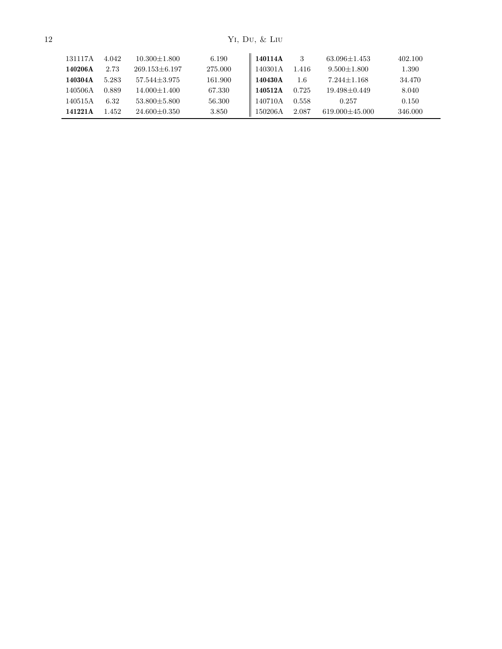| 131117A | 4.042 | $10.300 + 1.800$   | 6.190   | 140114A | 3     | $63.096 + 1.453$     | 402.100 |
|---------|-------|--------------------|---------|---------|-------|----------------------|---------|
| 140206A | 2.73  | $269.153\pm 6.197$ | 275.000 | 140301A | 1.416 | $9.500 + 1.800$      | 1.390   |
| 140304A | 5.283 | $57.544 + 3.975$   | 161.900 | 140430A | 1.6   | $7.244 + 1.168$      | 34.470  |
| 140506A | 0.889 | $14.000 \pm 1.400$ | 67.330  | 140512A | 0.725 | $19.498 \pm 0.449$   | 8.040   |
| 140515A | 6.32  | $53.800 + 5.800$   | 56.300  | 140710A | 0.558 | 0.257                | 0.150   |
| 141221A | 1.452 | $24.600 + 0.350$   | 3.850   | 150206A | 2.087 | $619.000 \pm 45.000$ | 346.000 |
|         |       |                    |         |         |       |                      |         |